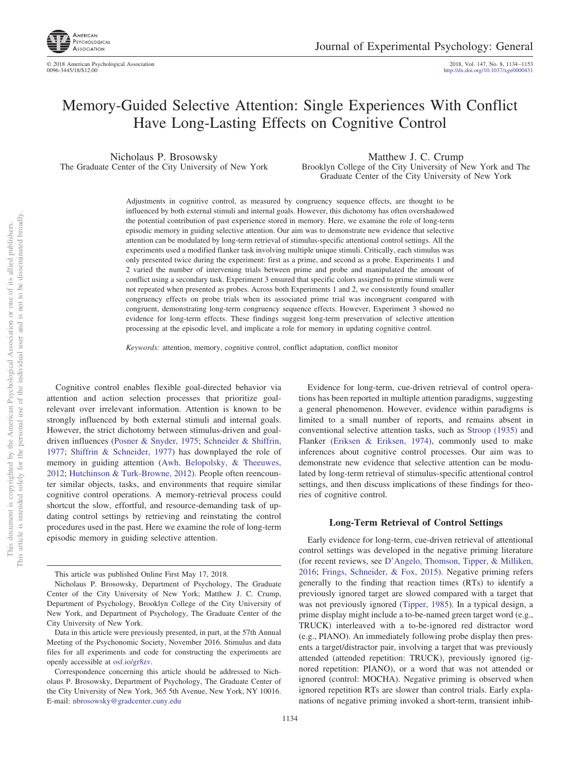

© 2018 American Psychological Association 2018, Vol. 147, No. 8, 1134 –1153 http://dx.doi.org[/10.1037/xge0000431](http://dx.doi.org/10.1037/xge0000431)

# Memory-Guided Selective Attention: Single Experiences With Conflict Have Long-Lasting Effects on Cognitive Control

Nicholaus P. Brosowsky The Graduate Center of the City University of New York

Matthew J. C. Crump Brooklyn College of the City University of New York and The Graduate Center of the City University of New York

Adjustments in cognitive control, as measured by congruency sequence effects, are thought to be influenced by both external stimuli and internal goals. However, this dichotomy has often overshadowed the potential contribution of past experience stored in memory. Here, we examine the role of long-term episodic memory in guiding selective attention. Our aim was to demonstrate new evidence that selective attention can be modulated by long-term retrieval of stimulus-specific attentional control settings. All the experiments used a modified flanker task involving multiple unique stimuli. Critically, each stimulus was only presented twice during the experiment: first as a prime, and second as a probe. Experiments 1 and 2 varied the number of intervening trials between prime and probe and manipulated the amount of conflict using a secondary task. Experiment 3 ensured that specific colors assigned to prime stimuli were not repeated when presented as probes. Across both Experiments 1 and 2, we consistently found smaller congruency effects on probe trials when its associated prime trial was incongruent compared with congruent, demonstrating long-term congruency sequence effects. However, Experiment 3 showed no evidence for long-term effects. These findings suggest long-term preservation of selective attention processing at the episodic level, and implicate a role for memory in updating cognitive control.

*Keywords:* attention, memory, cognitive control, conflict adaptation, conflict monitor

Cognitive control enables flexible goal-directed behavior via attention and action selection processes that prioritize goalrelevant over irrelevant information. Attention is known to be strongly influenced by both external stimuli and internal goals. However, the strict dichotomy between stimulus-driven and goaldriven influences [\(Posner & Snyder, 1975;](#page-19-0) [Schneider & Shiffrin,](#page-19-1) [1977;](#page-19-1) [Shiffrin & Schneider, 1977\)](#page-19-2) has downplayed the role of memory in guiding attention [\(Awh, Belopolsky, & Theeuwes,](#page-16-0) [2012;](#page-16-0) [Hutchinson & Turk-Browne, 2012\)](#page-18-0). People often reencounter similar objects, tasks, and environments that require similar cognitive control operations. A memory-retrieval process could shortcut the slow, effortful, and resource-demanding task of updating control settings by retrieving and reinstating the control procedures used in the past. Here we examine the role of long-term episodic memory in guiding selective attention.

This article is intended solely for the personal use of the individual user and is not to be disseminated broadly. This document is copyrighted by the American Psychological Association or one of its allied publishers. This document is copyrighted by the American Psychological Association<br>This article is intended solely for the personal use of the individual user and i

not to be disseminated broadly one of its allied publishers.

 $\overleftarrow{\mathrm{O}}$  $\widetilde{\Xi}$ 

> Evidence for long-term, cue-driven retrieval of control operations has been reported in multiple attention paradigms, suggesting a general phenomenon. However, evidence within paradigms is limited to a small number of reports, and remains absent in conventional selective attention tasks, such as [Stroop \(1935\)](#page-19-3) and Flanker [\(Eriksen & Eriksen, 1974\)](#page-17-0), commonly used to make inferences about cognitive control processes. Our aim was to demonstrate new evidence that selective attention can be modulated by long-term retrieval of stimulus-specific attentional control settings, and then discuss implications of these findings for theories of cognitive control.

## **Long-Term Retrieval of Control Settings**

Early evidence for long-term, cue-driven retrieval of attentional control settings was developed in the negative priming literature (for recent reviews, see [D'Angelo, Thomson, Tipper, & Milliken,](#page-17-1) [2016;](#page-17-1) [Frings, Schneider, & Fox, 2015\)](#page-17-2). Negative priming refers generally to the finding that reaction times (RTs) to identify a previously ignored target are slowed compared with a target that was not previously ignored [\(Tipper, 1985\)](#page-19-4). In a typical design, a prime display might include a to-be-named green target word (e.g., TRUCK) interleaved with a to-be-ignored red distractor word (e.g., PIANO). An immediately following probe display then presents a target/distractor pair, involving a target that was previously attended (attended repetition: TRUCK), previously ignored (ignored repetition: PIANO), or a word that was not attended or ignored (control: MOCHA). Negative priming is observed when ignored repetition RTs are slower than control trials. Early explanations of negative priming invoked a short-term, transient inhib-

This article was published Online First May 17, 2018.

Nicholaus P. Brosowsky, Department of Psychology, The Graduate Center of the City University of New York; Matthew J. C. Crump, Department of Psychology, Brooklyn College of the City University of New York, and Department of Psychology, The Graduate Center of the City University of New York.

Data in this article were previously presented, in part, at the 57th Annual Meeting of the Psychonomic Society, November 2016. Stimulus and data files for all experiments and code for constructing the experiments are openly accessible at [osf.io/gr8zv.](http://osf.io/gr8zv)

Correspondence concerning this article should be addressed to Nicholaus P. Brosowsky, Department of Psychology, The Graduate Center of the City University of New York, 365 5th Avenue, New York, NY 10016. E-mail: [nbrosowsky@gradcenter.cuny.edu](mailto:nbrosowsky@gradcenter.cuny.edu)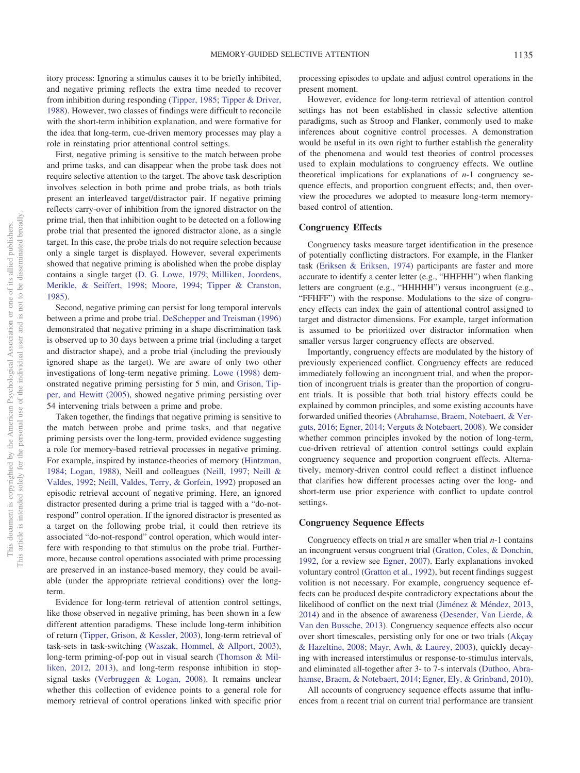itory process: Ignoring a stimulus causes it to be briefly inhibited, and negative priming reflects the extra time needed to recover from inhibition during responding [\(Tipper, 1985;](#page-19-4) [Tipper & Driver,](#page-19-5) [1988\)](#page-19-5). However, two classes of findings were difficult to reconcile with the short-term inhibition explanation, and were formative for the idea that long-term, cue-driven memory processes may play a role in reinstating prior attentional control settings.

First, negative priming is sensitive to the match between probe and prime tasks, and can disappear when the probe task does not require selective attention to the target. The above task description involves selection in both prime and probe trials, as both trials present an interleaved target/distractor pair. If negative priming reflects carry-over of inhibition from the ignored distractor on the prime trial, then that inhibition ought to be detected on a following probe trial that presented the ignored distractor alone, as a single target. In this case, the probe trials do not require selection because only a single target is displayed. However, several experiments showed that negative priming is abolished when the probe display contains a single target [\(D. G. Lowe, 1979;](#page-18-1) [Milliken, Joordens,](#page-18-2) [Merikle, & Seiffert, 1998;](#page-18-2) [Moore, 1994;](#page-18-3) [Tipper & Cranston,](#page-19-6) [1985\)](#page-19-6).

Second, negative priming can persist for long temporal intervals between a prime and probe trial. [DeSchepper and Treisman \(1996\)](#page-17-3) demonstrated that negative priming in a shape discrimination task is observed up to 30 days between a prime trial (including a target and distractor shape), and a probe trial (including the previously ignored shape as the target). We are aware of only two other investigations of long-term negative priming. [Lowe \(1998\)](#page-18-4) demonstrated negative priming persisting for 5 min, and [Grison, Tip](#page-18-5)[per, and Hewitt \(2005\),](#page-18-5) showed negative priming persisting over 54 intervening trials between a prime and probe.

Taken together, the findings that negative priming is sensitive to the match between probe and prime tasks, and that negative priming persists over the long-term, provided evidence suggesting a role for memory-based retrieval processes in negative priming. For example, inspired by instance-theories of memory [\(Hintzman,](#page-18-6) [1984;](#page-18-6) [Logan, 1988\)](#page-18-7), Neill and colleagues [\(Neill, 1997;](#page-18-8) [Neill &](#page-18-9) [Valdes, 1992;](#page-18-9) [Neill, Valdes, Terry, & Gorfein, 1992\)](#page-18-10) proposed an episodic retrieval account of negative priming. Here, an ignored distractor presented during a prime trial is tagged with a "do-notrespond" control operation. If the ignored distractor is presented as a target on the following probe trial, it could then retrieve its associated "do-not-respond" control operation, which would interfere with responding to that stimulus on the probe trial. Furthermore, because control operations associated with prime processing are preserved in an instance-based memory, they could be available (under the appropriate retrieval conditions) over the longterm.

Evidence for long-term retrieval of attention control settings, like those observed in negative priming, has been shown in a few different attention paradigms. These include long-term inhibition of return [\(Tipper, Grison, & Kessler, 2003\)](#page-19-7), long-term retrieval of task-sets in task-switching [\(Waszak, Hommel, & Allport, 2003\)](#page-19-8), long-term priming-of-pop out in visual search [\(Thomson & Mil](#page-19-9)[liken, 2012,](#page-19-9) [2013\)](#page-19-10), and long-term response inhibition in stopsignal tasks [\(Verbruggen & Logan, 2008\)](#page-19-11). It remains unclear whether this collection of evidence points to a general role for memory retrieval of control operations linked with specific prior processing episodes to update and adjust control operations in the present moment.

However, evidence for long-term retrieval of attention control settings has not been established in classic selective attention paradigms, such as Stroop and Flanker, commonly used to make inferences about cognitive control processes. A demonstration would be useful in its own right to further establish the generality of the phenomena and would test theories of control processes used to explain modulations to congruency effects. We outline theoretical implications for explanations of *n*-1 congruency sequence effects, and proportion congruent effects; and, then overview the procedures we adopted to measure long-term memorybased control of attention.

# **Congruency Effects**

Congruency tasks measure target identification in the presence of potentially conflicting distractors. For example, in the Flanker task [\(Eriksen & Eriksen, 1974\)](#page-17-0) participants are faster and more accurate to identify a center letter (e.g., "HHFHH") when flanking letters are congruent (e.g., "HHHHH") versus incongruent (e.g., "FFHFF") with the response. Modulations to the size of congruency effects can index the gain of attentional control assigned to target and distractor dimensions. For example, target information is assumed to be prioritized over distractor information when smaller versus larger congruency effects are observed.

Importantly, congruency effects are modulated by the history of previously experienced conflict. Congruency effects are reduced immediately following an incongruent trial, and when the proportion of incongruent trials is greater than the proportion of congruent trials. It is possible that both trial history effects could be explained by common principles, and some existing accounts have forwarded unified theories [\(Abrahamse, Braem, Notebaert, & Ver](#page-16-1)[guts, 2016;](#page-16-1) [Egner, 2014;](#page-17-4) [Verguts & Notebaert, 2008\)](#page-19-12). We consider whether common principles invoked by the notion of long-term, cue-driven retrieval of attention control settings could explain congruency sequence and proportion congruent effects. Alternatively, memory-driven control could reflect a distinct influence that clarifies how different processes acting over the long- and short-term use prior experience with conflict to update control settings.

## **Congruency Sequence Effects**

Congruency effects on trial *n* are smaller when trial *n*-1 contains an incongruent versus congruent trial [\(Gratton, Coles, & Donchin,](#page-18-11) [1992,](#page-18-11) for a review see [Egner, 2007\)](#page-17-5). Early explanations invoked voluntary control [\(Gratton et al., 1992\)](#page-18-11), but recent findings suggest volition is not necessary. For example, congruency sequence effects can be produced despite contradictory expectations about the likelihood of conflict on the next trial [\(Jiménez & Méndez, 2013,](#page-18-12) [2014\)](#page-18-13) and in the absence of awareness [\(Desender, Van Lierde, &](#page-17-6) [Van den Bussche, 2013\)](#page-17-6). Congruency sequence effects also occur over short timescales, persisting only for one or two trials [\(Akçay](#page-16-2) [& Hazeltine, 2008;](#page-16-2) [Mayr, Awh, & Laurey, 2003\)](#page-18-14), quickly decaying with increased interstimulus or response-to-stimulus intervals, and eliminated all-together after 3- to 7-s intervals [\(Duthoo, Abra](#page-17-7)[hamse, Braem, & Notebaert, 2014;](#page-17-7) [Egner, Ely, & Grinband, 2010\)](#page-17-8).

All accounts of congruency sequence effects assume that influences from a recent trial on current trial performance are transient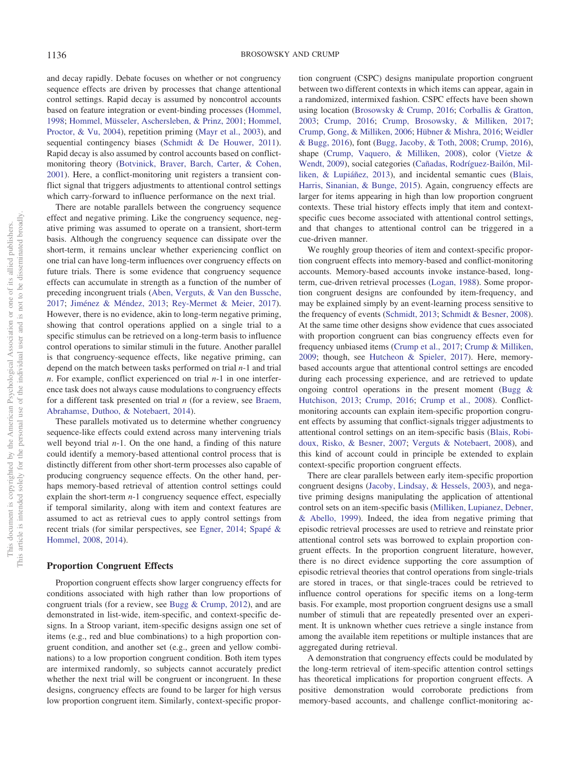and decay rapidly. Debate focuses on whether or not congruency sequence effects are driven by processes that change attentional control settings. Rapid decay is assumed by noncontrol accounts based on feature integration or event-binding processes [\(Hommel,](#page-18-15) [1998;](#page-18-15) [Hommel, Müsseler, Aschersleben, & Prinz, 2001;](#page-18-16) [Hommel,](#page-18-17) [Proctor, & Vu, 2004\)](#page-18-17), repetition priming [\(Mayr et al., 2003\)](#page-18-14), and sequential contingency biases [\(Schmidt & De Houwer, 2011\)](#page-19-13). Rapid decay is also assumed by control accounts based on conflictmonitoring theory [\(Botvinick, Braver, Barch, Carter, & Cohen,](#page-17-9) [2001\)](#page-17-9). Here, a conflict-monitoring unit registers a transient conflict signal that triggers adjustments to attentional control settings which carry-forward to influence performance on the next trial.

There are notable parallels between the congruency sequence effect and negative priming. Like the congruency sequence, negative priming was assumed to operate on a transient, short-term basis. Although the congruency sequence can dissipate over the short-term, it remains unclear whether experiencing conflict on one trial can have long-term influences over congruency effects on future trials. There is some evidence that congruency sequence effects can accumulate in strength as a function of the number of preceding incongruent trials [\(Aben, Verguts, & Van den Bussche,](#page-16-3) [2017;](#page-16-3) [Jiménez & Méndez, 2013;](#page-18-12) [Rey-Mermet & Meier, 2017\)](#page-19-14). However, there is no evidence, akin to long-term negative priming, showing that control operations applied on a single trial to a specific stimulus can be retrieved on a long-term basis to influence control operations to similar stimuli in the future. Another parallel is that congruency-sequence effects, like negative priming, can depend on the match between tasks performed on trial *n*-1 and trial *n*. For example, conflict experienced on trial *n*-1 in one interference task does not always cause modulations to congruency effects for a different task presented on trial *n* (for a review, see [Braem,](#page-17-10) [Abrahamse, Duthoo, & Notebaert, 2014\)](#page-17-10).

These parallels motivated us to determine whether congruency sequence-like effects could extend across many intervening trials well beyond trial *n*-1. On the one hand, a finding of this nature could identify a memory-based attentional control process that is distinctly different from other short-term processes also capable of producing congruency sequence effects. On the other hand, perhaps memory-based retrieval of attention control settings could explain the short-term *n*-1 congruency sequence effect, especially if temporal similarity, along with item and context features are assumed to act as retrieval cues to apply control settings from recent trials (for similar perspectives, see [Egner, 2014;](#page-17-4) [Spapé &](#page-19-15) [Hommel, 2008,](#page-19-15) [2014\)](#page-19-16).

#### **Proportion Congruent Effects**

Proportion congruent effects show larger congruency effects for conditions associated with high rather than low proportions of congruent trials (for a review, see [Bugg & Crump, 2012\)](#page-17-11), and are demonstrated in list-wide, item-specific, and context-specific designs. In a Stroop variant, item-specific designs assign one set of items (e.g., red and blue combinations) to a high proportion congruent condition, and another set (e.g., green and yellow combinations) to a low proportion congruent condition. Both item types are intermixed randomly, so subjects cannot accurately predict whether the next trial will be congruent or incongruent. In these designs, congruency effects are found to be larger for high versus low proportion congruent item. Similarly, context-specific propor-

tion congruent (CSPC) designs manipulate proportion congruent between two different contexts in which items can appear, again in a randomized, intermixed fashion. CSPC effects have been shown using location [\(Brosowsky & Crump, 2016;](#page-17-12) [Corballis & Gratton,](#page-17-13) [2003;](#page-17-13) [Crump, 2016;](#page-17-14) [Crump, Brosowsky, & Milliken, 2017;](#page-17-15) [Crump, Gong, & Milliken, 2006;](#page-17-16) [Hübner & Mishra, 2016;](#page-18-18) [Weidler](#page-19-17) [& Bugg, 2016\)](#page-19-17), font [\(Bugg, Jacoby, & Toth, 2008;](#page-17-17) [Crump, 2016\)](#page-17-14), shape [\(Crump, Vaquero, & Milliken, 2008\)](#page-17-18), color [\(Vietze &](#page-19-18) [Wendt, 2009\)](#page-19-18), social categories [\(Cañadas, Rodríguez-Bailón, Mil](#page-17-19)[liken, & Lupiáñez, 2013\)](#page-17-19), and incidental semantic cues [\(Blais,](#page-16-4) [Harris, Sinanian, & Bunge, 2015\)](#page-16-4). Again, congruency effects are larger for items appearing in high than low proportion congruent contexts. These trial history effects imply that item and contextspecific cues become associated with attentional control settings, and that changes to attentional control can be triggered in a cue-driven manner.

We roughly group theories of item and context-specific proportion congruent effects into memory-based and conflict-monitoring accounts. Memory-based accounts invoke instance-based, longterm, cue-driven retrieval processes [\(Logan, 1988\)](#page-18-7). Some proportion congruent designs are confounded by item-frequency, and may be explained simply by an event-learning process sensitive to the frequency of events [\(Schmidt, 2013;](#page-19-19) [Schmidt & Besner, 2008\)](#page-19-20). At the same time other designs show evidence that cues associated with proportion congruent can bias congruency effects even for frequency unbiased items [\(Crump et al., 2017;](#page-17-15) [Crump & Milliken,](#page-17-20) [2009;](#page-17-20) though, see [Hutcheon & Spieler, 2017\)](#page-18-19). Here, memorybased accounts argue that attentional control settings are encoded during each processing experience, and are retrieved to update ongoing control operations in the present moment [\(Bugg &](#page-17-21) [Hutchison, 2013;](#page-17-21) [Crump, 2016;](#page-17-14) [Crump et al., 2008\)](#page-17-18). Conflictmonitoring accounts can explain item-specific proportion congruent effects by assuming that conflict-signals trigger adjustments to attentional control settings on an item-specific basis [\(Blais, Robi](#page-17-22)[doux, Risko, & Besner, 2007;](#page-17-22) [Verguts & Notebaert, 2008\)](#page-19-12), and this kind of account could in principle be extended to explain context-specific proportion congruent effects.

There are clear parallels between early item-specific proportion congruent designs [\(Jacoby, Lindsay, & Hessels, 2003\)](#page-18-20), and negative priming designs manipulating the application of attentional control sets on an item-specific basis [\(Milliken, Lupianez, Debner,](#page-18-21) [& Abello, 1999\)](#page-18-21). Indeed, the idea from negative priming that episodic retrieval processes are used to retrieve and reinstate prior attentional control sets was borrowed to explain proportion congruent effects. In the proportion congruent literature, however, there is no direct evidence supporting the core assumption of episodic retrieval theories that control operations from single-trials are stored in traces, or that single-traces could be retrieved to influence control operations for specific items on a long-term basis. For example, most proportion congruent designs use a small number of stimuli that are repeatedly presented over an experiment. It is unknown whether cues retrieve a single instance from among the available item repetitions or multiple instances that are aggregated during retrieval.

A demonstration that congruency effects could be modulated by the long-term retrieval of item-specific attention control settings has theoretical implications for proportion congruent effects. A positive demonstration would corroborate predictions from memory-based accounts, and challenge conflict-monitoring ac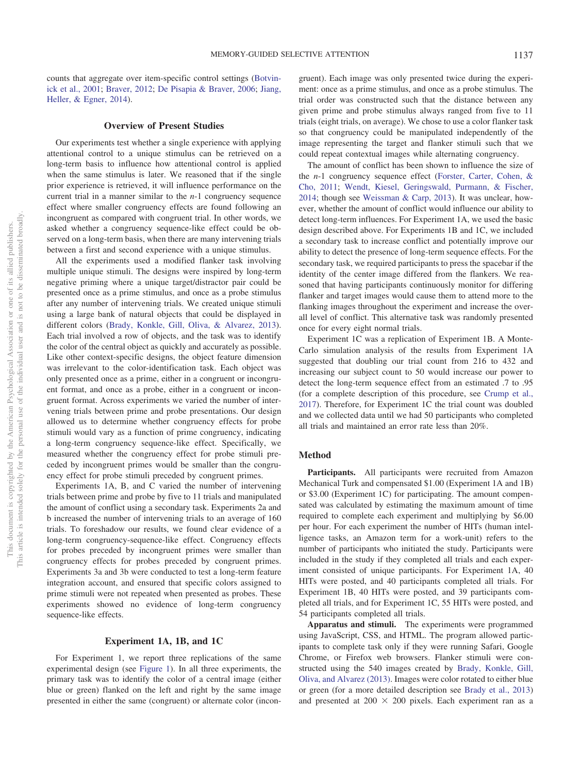counts that aggregate over item-specific control settings [\(Botvin](#page-17-9)[ick et al., 2001;](#page-17-9) [Braver, 2012;](#page-17-23) [De Pisapia & Braver, 2006;](#page-17-24) [Jiang,](#page-18-22) [Heller, & Egner, 2014\)](#page-18-22).

#### **Overview of Present Studies**

Our experiments test whether a single experience with applying attentional control to a unique stimulus can be retrieved on a long-term basis to influence how attentional control is applied when the same stimulus is later. We reasoned that if the single prior experience is retrieved, it will influence performance on the current trial in a manner similar to the *n*-1 congruency sequence effect where smaller congruency effects are found following an incongruent as compared with congruent trial. In other words, we asked whether a congruency sequence-like effect could be observed on a long-term basis, when there are many intervening trials between a first and second experience with a unique stimulus.

All the experiments used a modified flanker task involving multiple unique stimuli. The designs were inspired by long-term negative priming where a unique target/distractor pair could be presented once as a prime stimulus, and once as a probe stimulus after any number of intervening trials. We created unique stimuli using a large bank of natural objects that could be displayed in different colors [\(Brady, Konkle, Gill, Oliva, & Alvarez, 2013\)](#page-17-25). Each trial involved a row of objects, and the task was to identify the color of the central object as quickly and accurately as possible. Like other context-specific designs, the object feature dimension was irrelevant to the color-identification task. Each object was only presented once as a prime, either in a congruent or incongruent format, and once as a probe, either in a congruent or incongruent format. Across experiments we varied the number of intervening trials between prime and probe presentations. Our design allowed us to determine whether congruency effects for probe stimuli would vary as a function of prime congruency, indicating a long-term congruency sequence-like effect. Specifically, we measured whether the congruency effect for probe stimuli preceded by incongruent primes would be smaller than the congruency effect for probe stimuli preceded by congruent primes.

Experiments 1A, B, and C varied the number of intervening trials between prime and probe by five to 11 trials and manipulated the amount of conflict using a secondary task. Experiments 2a and b increased the number of intervening trials to an average of 160 trials. To foreshadow our results, we found clear evidence of a long-term congruency-sequence-like effect. Congruency effects for probes preceded by incongruent primes were smaller than congruency effects for probes preceded by congruent primes. Experiments 3a and 3b were conducted to test a long-term feature integration account, and ensured that specific colors assigned to prime stimuli were not repeated when presented as probes. These experiments showed no evidence of long-term congruency sequence-like effects.

#### **Experiment 1A, 1B, and 1C**

For Experiment 1, we report three replications of the same experimental design (see [Figure 1\)](#page-4-0). In all three experiments, the primary task was to identify the color of a central image (either blue or green) flanked on the left and right by the same image presented in either the same (congruent) or alternate color (incongruent). Each image was only presented twice during the experiment: once as a prime stimulus, and once as a probe stimulus. The trial order was constructed such that the distance between any given prime and probe stimulus always ranged from five to 11 trials (eight trials, on average). We chose to use a color flanker task so that congruency could be manipulated independently of the image representing the target and flanker stimuli such that we could repeat contextual images while alternating congruency.

The amount of conflict has been shown to influence the size of the *n*-1 congruency sequence effect [\(Forster, Carter, Cohen, &](#page-17-26) [Cho, 2011;](#page-17-26) [Wendt, Kiesel, Geringswald, Purmann, & Fischer,](#page-19-21) [2014;](#page-19-21) though see [Weissman & Carp, 2013\)](#page-19-22). It was unclear, however, whether the amount of conflict would influence our ability to detect long-term influences. For Experiment 1A, we used the basic design described above. For Experiments 1B and 1C, we included a secondary task to increase conflict and potentially improve our ability to detect the presence of long-term sequence effects. For the secondary task, we required participants to press the spacebar if the identity of the center image differed from the flankers. We reasoned that having participants continuously monitor for differing flanker and target images would cause them to attend more to the flanking images throughout the experiment and increase the overall level of conflict. This alternative task was randomly presented once for every eight normal trials.

Experiment 1C was a replication of Experiment 1B. A Monte-Carlo simulation analysis of the results from Experiment 1A suggested that doubling our trial count from 216 to 432 and increasing our subject count to 50 would increase our power to detect the long-term sequence effect from an estimated .7 to .95 (for a complete description of this procedure, see [Crump et al.,](#page-17-15) [2017\)](#page-17-15). Therefore, for Experiment 1C the trial count was doubled and we collected data until we had 50 participants who completed all trials and maintained an error rate less than 20%.

## **Method**

Participants. All participants were recruited from Amazon Mechanical Turk and compensated \$1.00 (Experiment 1A and 1B) or \$3.00 (Experiment 1C) for participating. The amount compensated was calculated by estimating the maximum amount of time required to complete each experiment and multiplying by \$6.00 per hour. For each experiment the number of HITs (human intelligence tasks, an Amazon term for a work-unit) refers to the number of participants who initiated the study. Participants were included in the study if they completed all trials and each experiment consisted of unique participants. For Experiment 1A, 40 HITs were posted, and 40 participants completed all trials. For Experiment 1B, 40 HITs were posted, and 39 participants completed all trials, and for Experiment 1C, 55 HITs were posted, and 54 participants completed all trials.

**Apparatus and stimuli.** The experiments were programmed using JavaScript, CSS, and HTML. The program allowed participants to complete task only if they were running Safari, Google Chrome, or Firefox web browsers. Flanker stimuli were constructed using the 540 images created by [Brady, Konkle, Gill,](#page-17-25) [Oliva, and Alvarez \(2013\).](#page-17-25) Images were color rotated to either blue or green (for a more detailed description see [Brady et al., 2013\)](#page-17-25) and presented at  $200 \times 200$  pixels. Each experiment ran as a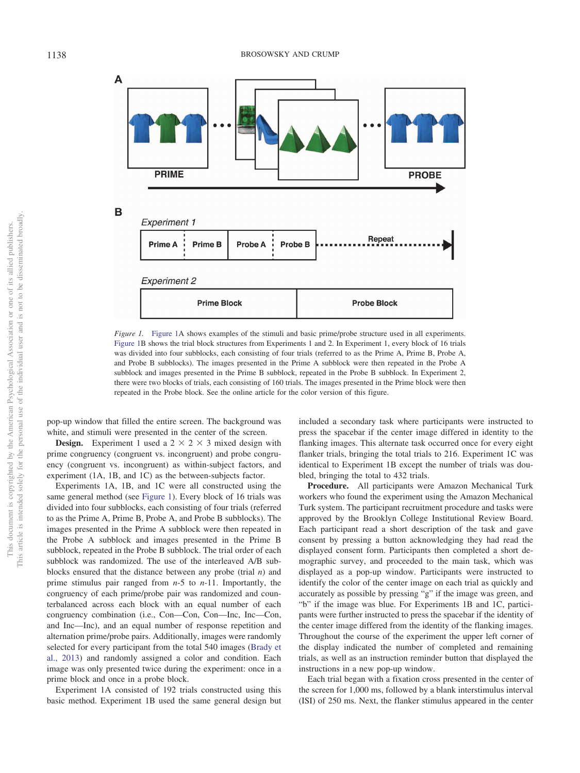

<span id="page-4-0"></span>*Figure 1.* [Figure 1A](#page-4-0) shows examples of the stimuli and basic prime/probe structure used in all experiments. [Figure 1B](#page-4-0) shows the trial block structures from Experiments 1 and 2. In Experiment 1, every block of 16 trials was divided into four subblocks, each consisting of four trials (referred to as the Prime A, Prime B, Probe A, and Probe B subblocks). The images presented in the Prime A subblock were then repeated in the Probe A subblock and images presented in the Prime B subblock, repeated in the Probe B subblock. In Experiment 2, there were two blocks of trials, each consisting of 160 trials. The images presented in the Prime block were then repeated in the Probe block. See the online article for the color version of this figure.

pop-up window that filled the entire screen. The background was white, and stimuli were presented in the center of the screen.

**Design.** Experiment 1 used a  $2 \times 2 \times 3$  mixed design with prime congruency (congruent vs. incongruent) and probe congruency (congruent vs. incongruent) as within-subject factors, and experiment (1A, 1B, and 1C) as the between-subjects factor.

Experiments 1A, 1B, and 1C were all constructed using the same general method (see [Figure 1\)](#page-4-0). Every block of 16 trials was divided into four subblocks, each consisting of four trials (referred to as the Prime A, Prime B, Probe A, and Probe B subblocks). The images presented in the Prime A subblock were then repeated in the Probe A subblock and images presented in the Prime B subblock, repeated in the Probe B subblock. The trial order of each subblock was randomized. The use of the interleaved A/B subblocks ensured that the distance between any probe (trial *n*) and prime stimulus pair ranged from *n*-5 to *n*-11. Importantly, the congruency of each prime/probe pair was randomized and counterbalanced across each block with an equal number of each congruency combination (i.e., Con—Con, Con—Inc, Inc—Con, and Inc—Inc), and an equal number of response repetition and alternation prime/probe pairs. Additionally, images were randomly selected for every participant from the total 540 images [\(Brady et](#page-17-25) [al., 2013\)](#page-17-25) and randomly assigned a color and condition. Each image was only presented twice during the experiment: once in a prime block and once in a probe block.

Experiment 1A consisted of 192 trials constructed using this basic method. Experiment 1B used the same general design but included a secondary task where participants were instructed to press the spacebar if the center image differed in identity to the flanking images. This alternate task occurred once for every eight flanker trials, bringing the total trials to 216. Experiment 1C was identical to Experiment 1B except the number of trials was doubled, bringing the total to 432 trials.

**Procedure.** All participants were Amazon Mechanical Turk workers who found the experiment using the Amazon Mechanical Turk system. The participant recruitment procedure and tasks were approved by the Brooklyn College Institutional Review Board. Each participant read a short description of the task and gave consent by pressing a button acknowledging they had read the displayed consent form. Participants then completed a short demographic survey, and proceeded to the main task, which was displayed as a pop-up window. Participants were instructed to identify the color of the center image on each trial as quickly and accurately as possible by pressing "g" if the image was green, and "b" if the image was blue. For Experiments 1B and 1C, participants were further instructed to press the spacebar if the identity of the center image differed from the identity of the flanking images. Throughout the course of the experiment the upper left corner of the display indicated the number of completed and remaining trials, as well as an instruction reminder button that displayed the instructions in a new pop-up window.

Each trial began with a fixation cross presented in the center of the screen for 1,000 ms, followed by a blank interstimulus interval (ISI) of 250 ms. Next, the flanker stimulus appeared in the center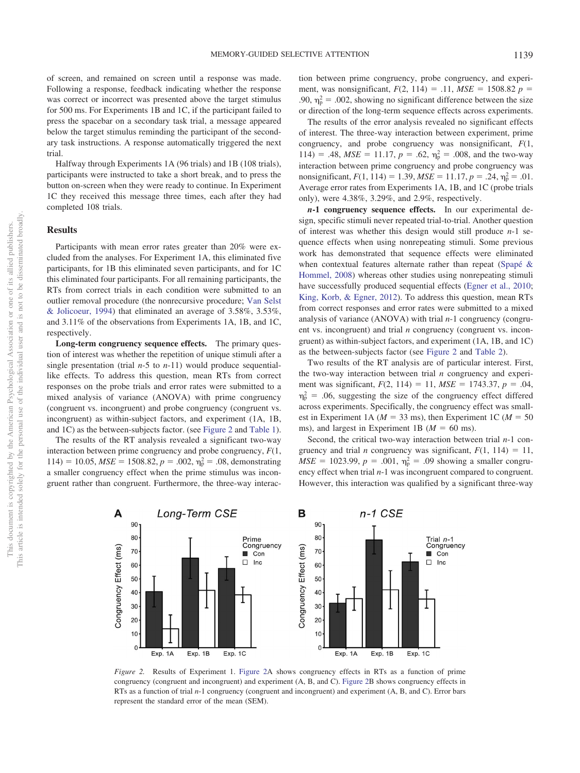of screen, and remained on screen until a response was made. Following a response, feedback indicating whether the response was correct or incorrect was presented above the target stimulus for 500 ms. For Experiments 1B and 1C, if the participant failed to press the spacebar on a secondary task trial, a message appeared below the target stimulus reminding the participant of the secondary task instructions. A response automatically triggered the next trial.

Halfway through Experiments 1A (96 trials) and 1B (108 trials), participants were instructed to take a short break, and to press the button on-screen when they were ready to continue. In Experiment 1C they received this message three times, each after they had completed 108 trials.

## **Results**

Participants with mean error rates greater than 20% were excluded from the analyses. For Experiment 1A, this eliminated five participants, for 1B this eliminated seven participants, and for 1C this eliminated four participants. For all remaining participants, the RTs from correct trials in each condition were submitted to an outlier removal procedure (the nonrecursive procedure; [Van Selst](#page-19-23) [& Jolicoeur, 1994\)](#page-19-23) that eliminated an average of 3.58%, 3.53%, and 3.11% of the observations from Experiments 1A, 1B, and 1C, respectively.

**Long-term congruency sequence effects.** The primary question of interest was whether the repetition of unique stimuli after a single presentation (trial *n*-5 to *n*-11) would produce sequentiallike effects. To address this question, mean RTs from correct responses on the probe trials and error rates were submitted to a mixed analysis of variance (ANOVA) with prime congruency (congruent vs. incongruent) and probe congruency (congruent vs. incongruent) as within-subject factors, and experiment (1A, 1B, and 1C) as the between-subjects factor. (see [Figure 2](#page-5-0) and [Table 1\)](#page-6-0).

The results of the RT analysis revealed a significant two-way interaction between prime congruency and probe congruency, *F*(1, 114) = 10.05,  $MSE = 1508.82$ ,  $p = .002$ ,  $\eta_p^2 = .08$ , demonstrating a smaller congruency effect when the prime stimulus was incongruent rather than congruent. Furthermore, the three-way interaction between prime congruency, probe congruency, and experiment, was nonsignificant,  $F(2, 114) = .11$ ,  $MSE = 1508.82$  *p* = .90,  $\eta_p^2 = .002$ , showing no significant difference between the size or direction of the long-term sequence effects across experiments.

The results of the error analysis revealed no significant effects of interest. The three-way interaction between experiment, prime congruency, and probe congruency was nonsignificant, *F*(1, 114) = .48,  $MSE = 11.17$ ,  $p = .62$ ,  $\eta_p^2 = .008$ , and the two-way interaction between prime congruency and probe congruency was nonsignificant,  $F(1, 114) = 1.39$ ,  $MSE = 11.17$ ,  $p = .24$ ,  $\eta_p^2 = .01$ . Average error rates from Experiments 1A, 1B, and 1C (probe trials only), were 4.38%, 3.29%, and 2.9%, respectively.

*n***-1 congruency sequence effects.** In our experimental design, specific stimuli never repeated trial-to-trial. Another question of interest was whether this design would still produce *n*-1 sequence effects when using nonrepeating stimuli. Some previous work has demonstrated that sequence effects were eliminated when contextual features alternate rather than repeat [\(Spapé &](#page-19-15) [Hommel, 2008\)](#page-19-15) whereas other studies using nonrepeating stimuli have successfully produced sequential effects [\(Egner et al., 2010;](#page-17-8) [King, Korb, & Egner, 2012\)](#page-18-23). To address this question, mean RTs from correct responses and error rates were submitted to a mixed analysis of variance (ANOVA) with trial *n*-1 congruency (congruent vs. incongruent) and trial *n* congruency (congruent vs. incongruent) as within-subject factors, and experiment (1A, 1B, and 1C) as the between-subjects factor (see [Figure 2](#page-5-0) and [Table 2\)](#page-6-1).

Two results of the RT analysis are of particular interest. First, the two-way interaction between trial *n* congruency and experiment was significant,  $F(2, 114) = 11$ ,  $MSE = 1743.37$ ,  $p = .04$ ,  $\eta_{\rm p}^2$  = .06, suggesting the size of the congruency effect differed across experiments. Specifically, the congruency effect was smallest in Experiment 1A ( $M = 33$  ms), then Experiment 1C ( $M = 50$ ms), and largest in Experiment 1B ( $M = 60$  ms).

Second, the critical two-way interaction between trial *n*-1 congruency and trial *n* congruency was significant,  $F(1, 114) = 11$ ,  $MSE = 1023.99, p = .001, \eta_p^2 = .09$  showing a smaller congruency effect when trial *n*-1 was incongruent compared to congruent. However, this interaction was qualified by a significant three-way



<span id="page-5-0"></span>*Figure 2.* Results of Experiment 1. [Figure 2A](#page-5-0) shows congruency effects in RTs as a function of prime congruency (congruent and incongruent) and experiment (A, B, and C). [Figure 2B](#page-5-0) shows congruency effects in RTs as a function of trial *n*-1 congruency (congruent and incongruent) and experiment (A, B, and C). Error bars represent the standard error of the mean (SEM).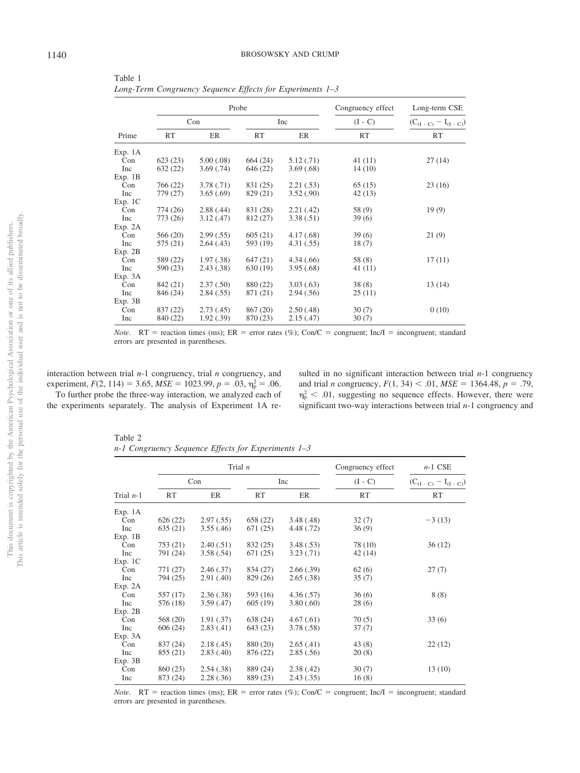<span id="page-6-0"></span>Table 1 *Long-Term Congruency Sequence Effects for Experiments 1–3*

| Prime   |           |            | Probe     | Congruency effect | Long-term CSE |                               |
|---------|-----------|------------|-----------|-------------------|---------------|-------------------------------|
|         | Con       |            | Inc       |                   | $(I - C)$     | $(C_{(I - C)} - I_{(I - C)})$ |
|         | <b>RT</b> | ER         | <b>RT</b> | ER                | RT            | RT                            |
| Exp. 1A |           |            |           |                   |               |                               |
| Con     | 623(23)   | 5.00(.08)  | 664 (24)  | 5.12(.71)         | 41 (11)       | 27(14)                        |
| Inc     | 632(22)   | 3.69(.74)  | 646 (22)  | 3.69(.68)         | 14(10)        |                               |
| Exp. 1B |           |            |           |                   |               |                               |
| Con     | 766 (22)  | 3.78(.71)  | 831 (25)  | 2.21(.53)         | 65(15)        | 23(16)                        |
| Inc     | 779 (27)  | 3.65(.69)  | 829 (21)  | 3.52(.90)         | 42 (13)       |                               |
| Exp. 1C |           |            |           |                   |               |                               |
| Con     | 774 (26)  | 2.88(.44)  | 831 (28)  | 2.21(.42)         | 58 (9)        | 19(9)                         |
| Inc     | 773 (26)  | 3.12(0.47) | 812 (27)  | 3.38(.51)         | 39(6)         |                               |
| Exp. 2A |           |            |           |                   |               |                               |
| Con     | 566 (20)  | 2.99(.55)  | 605 (21)  | 4.17(.68)         | 39(6)         | 21(9)                         |
| Inc     | 575 (21)  | 2.64(0.43) | 593 (19)  | 4.31(.55)         | 18(7)         |                               |
| Exp. 2B |           |            |           |                   |               |                               |
| Con     | 589 (22)  | 1.97(.38)  | 647 (21)  | 4.34(.66)         | 58(8)         | 17(11)                        |
| Inc     | 590 (23)  | 2.43(.38)  | 630 (19)  | 3.95(.68)         | 41 (11)       |                               |
| Exp. 3A |           |            |           |                   |               |                               |
| Con     | 842 (21)  | 2.37(.50)  | 880 (22)  | 3.03(0.63)        | 38(8)         | 13(14)                        |
| Inc     | 846 (24)  | 2.84(.55)  | 871 (21)  | 2.94(.56)         | 25(11)        |                               |
| Exp. 3B |           |            |           |                   |               |                               |
| Con     | 837 (22)  | 2.73(0.45) | 867 (20)  | 2.50(.48)         | 30(7)         | 0(10)                         |
| Inc     | 840 (22)  | 1.92(.39)  | 870 (23)  | 2.15(.47)         | 30(7)         |                               |

*Note.* RT = reaction times (ms); ER = error rates (%); Con/C = congruent; Inc/I = incongruent; standard errors are presented in parentheses.

interaction between trial *n*-1 congruency, trial *n* congruency, and experiment,  $F(2, 114) = 3.65$ ,  $MSE = 1023.99$ ,  $p = .03$ ,  $\eta_p^2 = .06$ . To further probe the three-way interaction, we analyzed each of the experiments separately. The analysis of Experiment 1A resulted in no significant interaction between trial *n*-1 congruency and trial *n* congruency,  $F(1, 34) < .01$ ,  $MSE = 1364.48$ ,  $p = .79$ ,  $\eta_{\rm p}^2$  < .01, suggesting no sequence effects. However, there were significant two-way interactions between trial *n*-1 congruency and

<span id="page-6-1"></span>Table 2 *n-1 Congruency Sequence Effects for Experiments 1–3*

|                   |           |            | Trial $n$ | Congruency effect | $n-1$ CSE |                               |
|-------------------|-----------|------------|-----------|-------------------|-----------|-------------------------------|
| Trial <i>n</i> -1 | Con       |            | Inc       |                   | $(I - C)$ | $(C_{(I - C)} - I_{(I - C)})$ |
|                   | <b>RT</b> | ER         | <b>RT</b> | ER                | <b>RT</b> | <b>RT</b>                     |
| Exp. 1A           |           |            |           |                   |           |                               |
| Con               | 626(22)   | 2.97(.55)  | 658 (22)  | 3.48(.48)         | 32(7)     | $-3(13)$                      |
| Inc               | 635(21)   | 3.55(.46)  | 671 (25)  | 4.48 (.72)        | 36(9)     |                               |
| Exp. 1B           |           |            |           |                   |           |                               |
| Con               | 753(21)   | 2.40(.51)  | 832 (25)  | 3.48(.53)         | 78 (10)   | 36(12)                        |
| Inc               | 791 (24)  | 3.58(.54)  | 671(25)   | 3.23(.71)         | 42(14)    |                               |
| Exp. 1C           |           |            |           |                   |           |                               |
| Con               | 771 (27)  | 2.46(.37)  | 834 (27)  | 2.66(.39)         | 62(6)     | 27(7)                         |
| Inc               | 794 (25)  | 2.91(.40)  | 829 (26)  | 2.65(.38)         | 35(7)     |                               |
| Exp. 2A           |           |            |           |                   |           |                               |
| Con               | 557 (17)  | 2.36(.38)  | 593 (16)  | 4.36(.57)         | 36(6)     | 8(8)                          |
| Inc               | 576 (18)  | 3.59(0.47) | 605 (19)  | 3.80(.60)         | 28(6)     |                               |
| Exp. 2B           |           |            |           |                   |           |                               |
| Con               | 568 (20)  | 1.91(.37)  | 638 (24)  | 4.67(.61)         | 70(5)     | 33(6)                         |
| Inc               | 606(24)   | 2.83(.41)  | 643 (23)  | 3.78(.58)         | 37(7)     |                               |
| Exp. 3A           |           |            |           |                   |           |                               |
| Con               | 837 (24)  | 2.18(0.45) | 880 (20)  | 2.65(.41)         | 43(8)     | 22(12)                        |
| Inc               | 855 (21)  | 2.83(0.40) | 876 (22)  | 2.85(.56)         | 20(8)     |                               |
| Exp. 3B           |           |            |           |                   |           |                               |
| Con               | 860 (23)  | 2.54(.38)  | 889 (24)  | 2.38(.42)         | 30(7)     | 13(10)                        |
| Inc               | 873 (24)  | 2.28(.36)  | 889 (23)  | 2.43(.35)         | 16(8)     |                               |

*Note.*  $RT$  = reaction times (ms);  $ER$  = error rates (%);  $Con/C$  = congruent; Inc/I = incongruent; standard errors are presented in parentheses.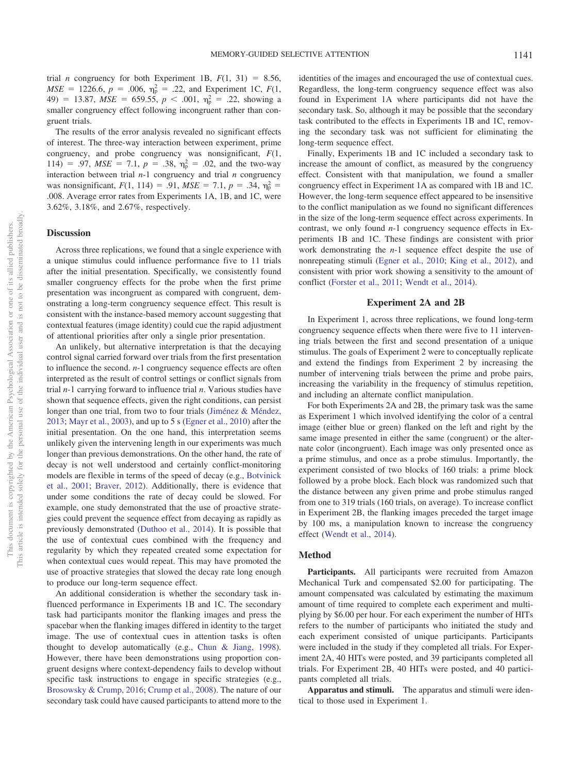trial *n* congruency for both Experiment 1B,  $F(1, 31) = 8.56$ ,  $MSE = 1226.6, p = .006, \eta_{p}^{2} = .22, \text{ and Experiment 1C, } F(1,$ 49) = 13.87,  $MSE = 659.55$ ,  $p < .001$ ,  $\eta_p^2 = .22$ , showing a smaller congruency effect following incongruent rather than congruent trials.

The results of the error analysis revealed no significant effects of interest. The three-way interaction between experiment, prime congruency, and probe congruency was nonsignificant, *F*(1, 114) = .97,  $MSE = 7.1$ ,  $p = .38$ ,  $\eta_p^2 = .02$ , and the two-way interaction between trial *n*-1 congruency and trial *n* congruency was nonsignificant,  $F(1, 114) = .91$ ,  $MSE = 7.1$ ,  $p = .34$ ,  $\eta_p^2 =$ .008. Average error rates from Experiments 1A, 1B, and 1C, were 3.62%, 3.18%, and 2.67%, respectively.

#### **Discussion**

Across three replications, we found that a single experience with a unique stimulus could influence performance five to 11 trials after the initial presentation. Specifically, we consistently found smaller congruency effects for the probe when the first prime presentation was incongruent as compared with congruent, demonstrating a long-term congruency sequence effect. This result is consistent with the instance-based memory account suggesting that contextual features (image identity) could cue the rapid adjustment of attentional priorities after only a single prior presentation.

An unlikely, but alternative interpretation is that the decaying control signal carried forward over trials from the first presentation to influence the second. *n*-1 congruency sequence effects are often interpreted as the result of control settings or conflict signals from trial *n*-1 carrying forward to influence trial *n*. Various studies have shown that sequence effects, given the right conditions, can persist longer than one trial, from two to four trials [\(Jiménez & Méndez,](#page-18-12) [2013;](#page-18-12) [Mayr et al., 2003\)](#page-18-14), and up to 5 s [\(Egner et al., 2010\)](#page-17-8) after the initial presentation. On the one hand, this interpretation seems unlikely given the intervening length in our experiments was much longer than previous demonstrations. On the other hand, the rate of decay is not well understood and certainly conflict-monitoring models are flexible in terms of the speed of decay (e.g., [Botvinick](#page-17-9) [et al., 2001;](#page-17-9) [Braver, 2012\)](#page-17-23). Additionally, there is evidence that under some conditions the rate of decay could be slowed. For example, one study demonstrated that the use of proactive strategies could prevent the sequence effect from decaying as rapidly as previously demonstrated [\(Duthoo et al., 2014\)](#page-17-7). It is possible that the use of contextual cues combined with the frequency and regularity by which they repeated created some expectation for when contextual cues would repeat. This may have promoted the use of proactive strategies that slowed the decay rate long enough to produce our long-term sequence effect.

An additional consideration is whether the secondary task influenced performance in Experiments 1B and 1C. The secondary task had participants monitor the flanking images and press the spacebar when the flanking images differed in identity to the target image. The use of contextual cues in attention tasks is often thought to develop automatically (e.g., [Chun & Jiang, 1998\)](#page-17-27). However, there have been demonstrations using proportion congruent designs where context-dependency fails to develop without specific task instructions to engage in specific strategies (e.g., [Brosowsky & Crump, 2016;](#page-17-12) [Crump et al., 2008\)](#page-17-18). The nature of our secondary task could have caused participants to attend more to the identities of the images and encouraged the use of contextual cues. Regardless, the long-term congruency sequence effect was also found in Experiment 1A where participants did not have the secondary task. So, although it may be possible that the secondary task contributed to the effects in Experiments 1B and 1C, removing the secondary task was not sufficient for eliminating the long-term sequence effect.

Finally, Experiments 1B and 1C included a secondary task to increase the amount of conflict, as measured by the congruency effect. Consistent with that manipulation, we found a smaller congruency effect in Experiment 1A as compared with 1B and 1C. However, the long-term sequence effect appeared to be insensitive to the conflict manipulation as we found no significant differences in the size of the long-term sequence effect across experiments. In contrast, we only found *n*-1 congruency sequence effects in Experiments 1B and 1C. These findings are consistent with prior work demonstrating the *n*-1 sequence effect despite the use of nonrepeating stimuli [\(Egner et al., 2010;](#page-17-8) [King et al., 2012\)](#page-18-23), and consistent with prior work showing a sensitivity to the amount of conflict [\(Forster et al., 2011;](#page-17-26) [Wendt et al., 2014\)](#page-19-21).

#### **Experiment 2A and 2B**

In Experiment 1, across three replications, we found long-term congruency sequence effects when there were five to 11 intervening trials between the first and second presentation of a unique stimulus. The goals of Experiment 2 were to conceptually replicate and extend the findings from Experiment 2 by increasing the number of intervening trials between the prime and probe pairs, increasing the variability in the frequency of stimulus repetition, and including an alternate conflict manipulation.

For both Experiments 2A and 2B, the primary task was the same as Experiment 1 which involved identifying the color of a central image (either blue or green) flanked on the left and right by the same image presented in either the same (congruent) or the alternate color (incongruent). Each image was only presented once as a prime stimulus, and once as a probe stimulus. Importantly, the experiment consisted of two blocks of 160 trials: a prime block followed by a probe block. Each block was randomized such that the distance between any given prime and probe stimulus ranged from one to 319 trials (160 trials, on average). To increase conflict in Experiment 2B, the flanking images preceded the target image by 100 ms, a manipulation known to increase the congruency effect [\(Wendt et al., 2014\)](#page-19-21).

#### **Method**

Participants. All participants were recruited from Amazon Mechanical Turk and compensated \$2.00 for participating. The amount compensated was calculated by estimating the maximum amount of time required to complete each experiment and multiplying by \$6.00 per hour. For each experiment the number of HITs refers to the number of participants who initiated the study and each experiment consisted of unique participants. Participants were included in the study if they completed all trials. For Experiment 2A, 40 HITs were posted, and 39 participants completed all trials. For Experiment 2B, 40 HITs were posted, and 40 participants completed all trials.

**Apparatus and stimuli.** The apparatus and stimuli were identical to those used in Experiment 1.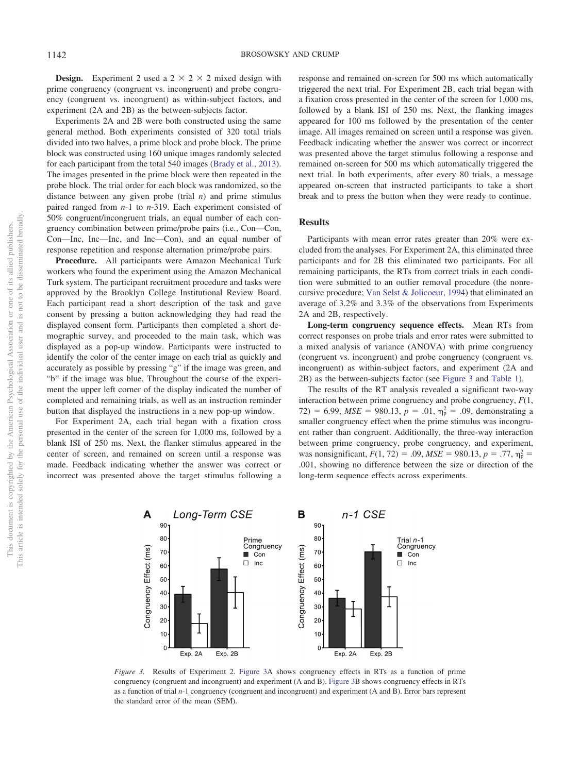**Design.** Experiment 2 used a  $2 \times 2 \times 2$  mixed design with prime congruency (congruent vs. incongruent) and probe congruency (congruent vs. incongruent) as within-subject factors, and experiment (2A and 2B) as the between-subjects factor.

Experiments 2A and 2B were both constructed using the same general method. Both experiments consisted of 320 total trials divided into two halves, a prime block and probe block. The prime block was constructed using 160 unique images randomly selected for each participant from the total 540 images [\(Brady et al., 2013\)](#page-17-25). The images presented in the prime block were then repeated in the probe block. The trial order for each block was randomized, so the distance between any given probe (trial *n*) and prime stimulus paired ranged from *n*-1 to *n*-319. Each experiment consisted of 50% congruent/incongruent trials, an equal number of each congruency combination between prime/probe pairs (i.e., Con—Con, Con—Inc, Inc—Inc, and Inc—Con), and an equal number of response repetition and response alternation prime/probe pairs.

**Procedure.** All participants were Amazon Mechanical Turk workers who found the experiment using the Amazon Mechanical Turk system. The participant recruitment procedure and tasks were approved by the Brooklyn College Institutional Review Board. Each participant read a short description of the task and gave consent by pressing a button acknowledging they had read the displayed consent form. Participants then completed a short demographic survey, and proceeded to the main task, which was displayed as a pop-up window. Participants were instructed to identify the color of the center image on each trial as quickly and accurately as possible by pressing "g" if the image was green, and "b" if the image was blue. Throughout the course of the experiment the upper left corner of the display indicated the number of completed and remaining trials, as well as an instruction reminder button that displayed the instructions in a new pop-up window.

For Experiment 2A, each trial began with a fixation cross presented in the center of the screen for 1,000 ms, followed by a blank ISI of 250 ms. Next, the flanker stimulus appeared in the center of screen, and remained on screen until a response was made. Feedback indicating whether the answer was correct or incorrect was presented above the target stimulus following a response and remained on-screen for 500 ms which automatically triggered the next trial. For Experiment 2B, each trial began with a fixation cross presented in the center of the screen for 1,000 ms, followed by a blank ISI of 250 ms. Next, the flanking images appeared for 100 ms followed by the presentation of the center image. All images remained on screen until a response was given. Feedback indicating whether the answer was correct or incorrect was presented above the target stimulus following a response and remained on-screen for 500 ms which automatically triggered the next trial. In both experiments, after every 80 trials, a message appeared on-screen that instructed participants to take a short break and to press the button when they were ready to continue.

## **Results**

Participants with mean error rates greater than 20% were excluded from the analyses. For Experiment 2A, this eliminated three participants and for 2B this eliminated two participants. For all remaining participants, the RTs from correct trials in each condition were submitted to an outlier removal procedure (the nonrecursive procedure; [Van Selst & Jolicoeur, 1994\)](#page-19-23) that eliminated an average of 3.2% and 3.3% of the observations from Experiments 2A and 2B, respectively.

**Long-term congruency sequence effects.** Mean RTs from correct responses on probe trials and error rates were submitted to a mixed analysis of variance (ANOVA) with prime congruency (congruent vs. incongruent) and probe congruency (congruent vs. incongruent) as within-subject factors, and experiment (2A and 2B) as the between-subjects factor (see [Figure 3](#page-8-0) and [Table 1\)](#page-6-0).

The results of the RT analysis revealed a significant two-way interaction between prime congruency and probe congruency, *F*(1,  $72) = 6.99$ ,  $MSE = 980.13$ ,  $p = .01$ ,  $\eta_p^2 = .09$ , demonstrating a smaller congruency effect when the prime stimulus was incongruent rather than congruent. Additionally, the three-way interaction between prime congruency, probe congruency, and experiment, was nonsignificant,  $F(1, 72) = .09$ ,  $MSE = 980.13$ ,  $p = .77$ ,  $\eta_p^2 =$ .001, showing no difference between the size or direction of the long-term sequence effects across experiments.



<span id="page-8-0"></span>*Figure 3.* Results of Experiment 2. [Figure 3A](#page-8-0) shows congruency effects in RTs as a function of prime congruency (congruent and incongruent) and experiment (A and B). [Figure 3B](#page-8-0) shows congruency effects in RTs as a function of trial *n*-1 congruency (congruent and incongruent) and experiment (A and B). Error bars represent the standard error of the mean (SEM).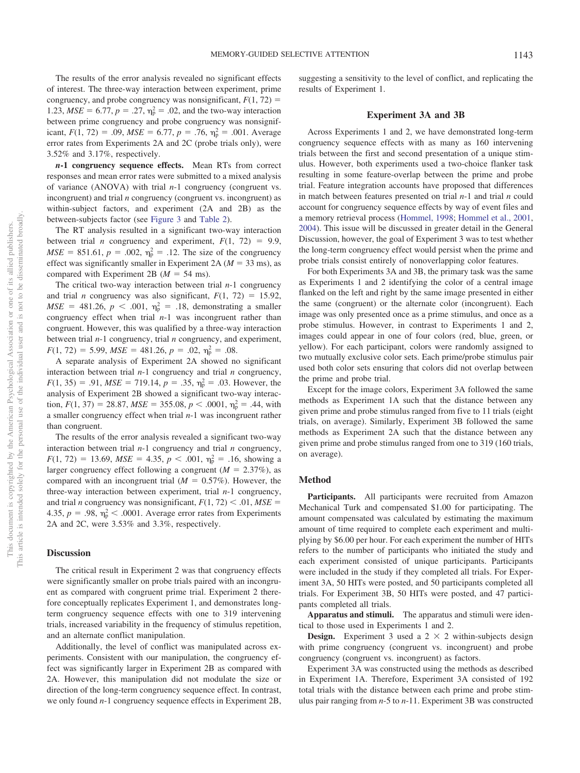The results of the error analysis revealed no significant effects of interest. The three-way interaction between experiment, prime congruency, and probe congruency was nonsignificant,  $F(1, 72) =$ 1.23,  $MSE = 6.77$ ,  $p = .27$ ,  $\eta_p^2 = .02$ , and the two-way interaction between prime congruency and probe congruency was nonsignificant,  $F(1, 72) = .09$ ,  $MSE = 6.77$ ,  $p = .76$ ,  $\eta_p^2 = .001$ . Average error rates from Experiments 2A and 2C (probe trials only), were 3.52% and 3.17%, respectively.

*n***-1 congruency sequence effects.** Mean RTs from correct responses and mean error rates were submitted to a mixed analysis of variance (ANOVA) with trial *n*-1 congruency (congruent vs. incongruent) and trial *n* congruency (congruent vs. incongruent) as within-subject factors, and experiment (2A and 2B) as the between-subjects factor (see [Figure 3](#page-8-0) and [Table 2\)](#page-6-1).

The RT analysis resulted in a significant two-way interaction between trial *n* congruency and experiment,  $F(1, 72) = 9.9$ ,  $MSE = 851.61, p = .002, \eta_{\rm p}^2 = .12$ . The size of the congruency effect was significantly smaller in Experiment 2A ( $M = 33$  ms), as compared with Experiment 2B ( $M = 54$  ms).

The critical two-way interaction between trial *n*-1 congruency and trial *n* congruency was also significant,  $F(1, 72) = 15.92$ ,  $MSE = 481.26$ ,  $p < .001$ ,  $\eta_p^2 = .18$ , demonstrating a smaller congruency effect when trial *n*-1 was incongruent rather than congruent. However, this was qualified by a three-way interaction between trial *n*-1 congruency, trial *n* congruency, and experiment,  $F(1, 72) = 5.99$ ,  $MSE = 481.26$ ,  $p = .02$ ,  $\eta_p^2 = .08$ .

A separate analysis of Experiment 2A showed no significant interaction between trial *n*-1 congruency and trial *n* congruency,  $F(1, 35) = .91$ ,  $MSE = 719.14$ ,  $p = .35$ ,  $\eta_p^2 = .03$ . However, the analysis of Experiment 2B showed a significant two-way interaction,  $F(1, 37) = 28.87$ ,  $MSE = 355.08$ ,  $p < .0001$ ,  $\eta_p^2 = .44$ , with a smaller congruency effect when trial *n*-1 was incongruent rather than congruent.

The results of the error analysis revealed a significant two-way interaction between trial *n*-1 congruency and trial *n* congruency,  $F(1, 72) = 13.69$ ,  $MSE = 4.35$ ,  $p < .001$ ,  $\eta_p^2 = .16$ , showing a larger congruency effect following a congruent  $(M = 2.37\%)$ , as compared with an incongruent trial  $(M = 0.57\%)$ . However, the three-way interaction between experiment, trial *n*-1 congruency, and trial *n* congruency was nonsignificant,  $F(1, 72) \le .01$ ,  $MSE =$ 4.35,  $p = .98$ ,  $\eta_p^2 < .0001$ . Average error rates from Experiments 2A and 2C, were 3.53% and 3.3%, respectively.

## **Discussion**

The critical result in Experiment 2 was that congruency effects were significantly smaller on probe trials paired with an incongruent as compared with congruent prime trial. Experiment 2 therefore conceptually replicates Experiment 1, and demonstrates longterm congruency sequence effects with one to 319 intervening trials, increased variability in the frequency of stimulus repetition, and an alternate conflict manipulation.

Additionally, the level of conflict was manipulated across experiments. Consistent with our manipulation, the congruency effect was significantly larger in Experiment 2B as compared with 2A. However, this manipulation did not modulate the size or direction of the long-term congruency sequence effect. In contrast, we only found *n*-1 congruency sequence effects in Experiment 2B,

suggesting a sensitivity to the level of conflict, and replicating the results of Experiment 1.

#### **Experiment 3A and 3B**

Across Experiments 1 and 2, we have demonstrated long-term congruency sequence effects with as many as 160 intervening trials between the first and second presentation of a unique stimulus. However, both experiments used a two-choice flanker task resulting in some feature-overlap between the prime and probe trial. Feature integration accounts have proposed that differences in match between features presented on trial *n*-1 and trial *n* could account for congruency sequence effects by way of event files and a memory retrieval process [\(Hommel, 1998;](#page-18-15) [Hommel et al., 2001,](#page-18-16) [2004\)](#page-18-17). This issue will be discussed in greater detail in the General Discussion, however, the goal of Experiment 3 was to test whether the long-term congruency effect would persist when the prime and probe trials consist entirely of nonoverlapping color features.

For both Experiments 3A and 3B, the primary task was the same as Experiments 1 and 2 identifying the color of a central image flanked on the left and right by the same image presented in either the same (congruent) or the alternate color (incongruent). Each image was only presented once as a prime stimulus, and once as a probe stimulus. However, in contrast to Experiments 1 and 2, images could appear in one of four colors (red, blue, green, or yellow). For each participant, colors were randomly assigned to two mutually exclusive color sets. Each prime/probe stimulus pair used both color sets ensuring that colors did not overlap between the prime and probe trial.

Except for the image colors, Experiment 3A followed the same methods as Experiment 1A such that the distance between any given prime and probe stimulus ranged from five to 11 trials (eight trials, on average). Similarly, Experiment 3B followed the same methods as Experiment 2A such that the distance between any given prime and probe stimulus ranged from one to 319 (160 trials, on average).

## **Method**

**Participants.** All participants were recruited from Amazon Mechanical Turk and compensated \$1.00 for participating. The amount compensated was calculated by estimating the maximum amount of time required to complete each experiment and multiplying by \$6.00 per hour. For each experiment the number of HITs refers to the number of participants who initiated the study and each experiment consisted of unique participants. Participants were included in the study if they completed all trials. For Experiment 3A, 50 HITs were posted, and 50 participants completed all trials. For Experiment 3B, 50 HITs were posted, and 47 participants completed all trials.

**Apparatus and stimuli.** The apparatus and stimuli were identical to those used in Experiments 1 and 2.

**Design.** Experiment 3 used a  $2 \times 2$  within-subjects design with prime congruency (congruent vs. incongruent) and probe congruency (congruent vs. incongruent) as factors.

Experiment 3A was constructed using the methods as described in Experiment 1A. Therefore, Experiment 3A consisted of 192 total trials with the distance between each prime and probe stimulus pair ranging from *n*-5 to *n*-11. Experiment 3B was constructed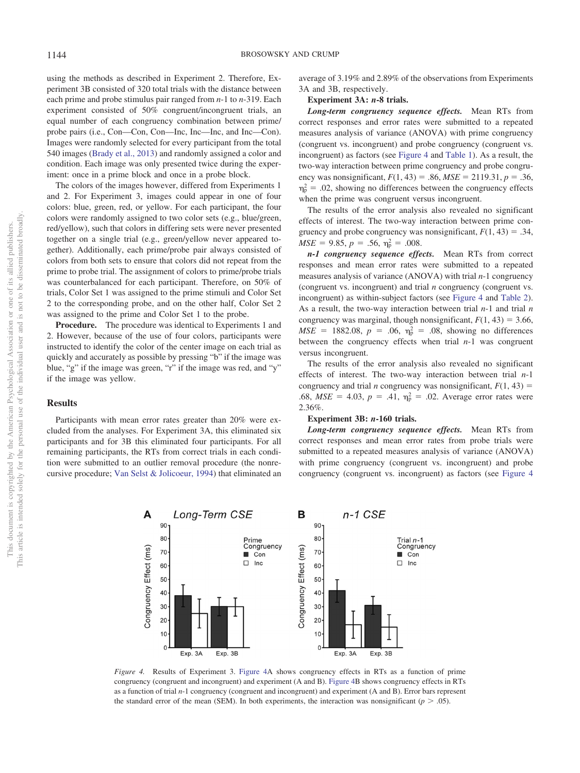using the methods as described in Experiment 2. Therefore, Experiment 3B consisted of 320 total trials with the distance between each prime and probe stimulus pair ranged from *n*-1 to *n*-319. Each experiment consisted of 50% congruent/incongruent trials, an equal number of each congruency combination between prime/ probe pairs (i.e., Con—Con, Con—Inc, Inc—Inc, and Inc—Con). Images were randomly selected for every participant from the total 540 images [\(Brady et al., 2013\)](#page-17-25) and randomly assigned a color and condition. Each image was only presented twice during the experiment: once in a prime block and once in a probe block.

The colors of the images however, differed from Experiments 1 and 2. For Experiment 3, images could appear in one of four colors: blue, green, red, or yellow. For each participant, the four colors were randomly assigned to two color sets (e.g., blue/green, red/yellow), such that colors in differing sets were never presented together on a single trial (e.g., green/yellow never appeared together). Additionally, each prime/probe pair always consisted of colors from both sets to ensure that colors did not repeat from the prime to probe trial. The assignment of colors to prime/probe trials was counterbalanced for each participant. Therefore, on 50% of trials, Color Set 1 was assigned to the prime stimuli and Color Set 2 to the corresponding probe, and on the other half, Color Set 2 was assigned to the prime and Color Set 1 to the probe.

**Procedure.** The procedure was identical to Experiments 1 and 2. However, because of the use of four colors, participants were instructed to identify the color of the center image on each trial as quickly and accurately as possible by pressing "b" if the image was blue, "g" if the image was green, "r" if the image was red, and "y" if the image was yellow.

#### **Results**

Participants with mean error rates greater than 20% were excluded from the analyses. For Experiment 3A, this eliminated six participants and for 3B this eliminated four participants. For all remaining participants, the RTs from correct trials in each condition were submitted to an outlier removal procedure (the nonrecursive procedure; [Van Selst & Jolicoeur, 1994\)](#page-19-23) that eliminated an average of 3.19% and 2.89% of the observations from Experiments 3A and 3B, respectively.

#### **Experiment 3A:** *n***-8 trials.**

*Long-term congruency sequence effects.* Mean RTs from correct responses and error rates were submitted to a repeated measures analysis of variance (ANOVA) with prime congruency (congruent vs. incongruent) and probe congruency (congruent vs. incongruent) as factors (see [Figure 4](#page-10-0) and [Table 1\)](#page-6-0). As a result, the two-way interaction between prime congruency and probe congruency was nonsignificant,  $F(1, 43) = .86$ ,  $MSE = 2119.31$ ,  $p = .36$ ,  $\eta_{\rm p}^2$  = .02, showing no differences between the congruency effects when the prime was congruent versus incongruent.

The results of the error analysis also revealed no significant effects of interest. The two-way interaction between prime congruency and probe congruency was nonsignificant,  $F(1, 43) = .34$ ,  $MSE = 9.85, p = .56, \eta_p^2 = .008.$ 

*n-1 congruency sequence effects.* Mean RTs from correct responses and mean error rates were submitted to a repeated measures analysis of variance (ANOVA) with trial *n*-1 congruency (congruent vs. incongruent) and trial *n* congruency (congruent vs. incongruent) as within-subject factors (see [Figure 4](#page-10-0) and [Table 2\)](#page-6-1). As a result, the two-way interaction between trial *n*-1 and trial *n* congruency was marginal, though nonsignificant,  $F(1, 43) = 3.66$ ,  $MSE = 1882.08, p = .06, \eta_p^2 = .08$ , showing no differences between the congruency effects when trial *n*-1 was congruent versus incongruent.

The results of the error analysis also revealed no significant effects of interest. The two-way interaction between trial *n*-1 congruency and trial *n* congruency was nonsignificant,  $F(1, 43) =$ .68,  $MSE = 4.03$ ,  $p = .41$ ,  $\eta_p^2 = .02$ . Average error rates were 2.36%.

#### **Experiment 3B:** *n***-160 trials.**

*Long-term congruency sequence effects.* Mean RTs from correct responses and mean error rates from probe trials were submitted to a repeated measures analysis of variance (ANOVA) with prime congruency (congruent vs. incongruent) and probe congruency (congruent vs. incongruent) as factors (see [Figure 4](#page-10-0)



<span id="page-10-0"></span>*Figure 4.* Results of Experiment 3. [Figure 4A](#page-10-0) shows congruency effects in RTs as a function of prime congruency (congruent and incongruent) and experiment (A and B). [Figure 4B](#page-10-0) shows congruency effects in RTs as a function of trial *n*-1 congruency (congruent and incongruent) and experiment (A and B). Error bars represent the standard error of the mean (SEM). In both experiments, the interaction was nonsignificant ( $p > .05$ ).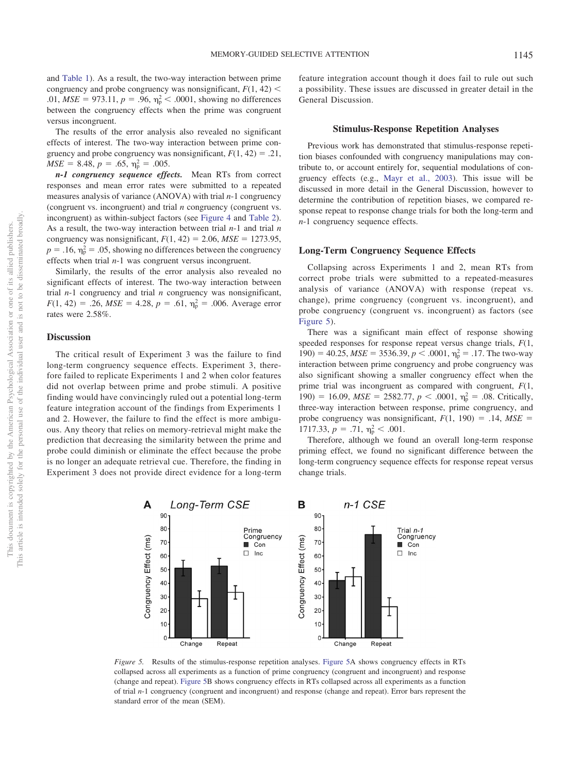and [Table 1\)](#page-6-0). As a result, the two-way interaction between prime congruency and probe congruency was nonsignificant,  $F(1, 42)$  < .01,  $MSE = 973.11$ ,  $p = .96$ ,  $\eta_p^2 < .0001$ , showing no differences between the congruency effects when the prime was congruent versus incongruent.

The results of the error analysis also revealed no significant effects of interest. The two-way interaction between prime congruency and probe congruency was nonsignificant,  $F(1, 42) = .21$ ,  $MSE = 8.48, p = .65, \eta_p^2 = .005.$ 

*n-1 congruency sequence effects.* Mean RTs from correct responses and mean error rates were submitted to a repeated measures analysis of variance (ANOVA) with trial *n*-1 congruency (congruent vs. incongruent) and trial *n* congruency (congruent vs. incongruent) as within-subject factors (see [Figure 4](#page-10-0) and [Table 2\)](#page-6-1). As a result, the two-way interaction between trial *n*-1 and trial *n* congruency was nonsignificant,  $F(1, 42) = 2.06$ ,  $MSE = 1273.95$ ,  $p = .16$ ,  $\eta_p^2 = .05$ , showing no differences between the congruency effects when trial *n*-1 was congruent versus incongruent.

Similarly, the results of the error analysis also revealed no significant effects of interest. The two-way interaction between trial *n*-1 congruency and trial *n* congruency was nonsignificant,  $F(1, 42) = .26$ ,  $MSE = 4.28$ ,  $p = .61$ ,  $\eta_p^2 = .006$ . Average error rates were 2.58%.

#### **Discussion**

The critical result of Experiment 3 was the failure to find long-term congruency sequence effects. Experiment 3, therefore failed to replicate Experiments 1 and 2 when color features did not overlap between prime and probe stimuli. A positive finding would have convincingly ruled out a potential long-term feature integration account of the findings from Experiments 1 and 2. However, the failure to find the effect is more ambiguous. Any theory that relies on memory-retrieval might make the prediction that decreasing the similarity between the prime and probe could diminish or eliminate the effect because the probe is no longer an adequate retrieval cue. Therefore, the finding in Experiment 3 does not provide direct evidence for a long-term

feature integration account though it does fail to rule out such a possibility. These issues are discussed in greater detail in the General Discussion.

### **Stimulus-Response Repetition Analyses**

Previous work has demonstrated that stimulus-response repetition biases confounded with congruency manipulations may contribute to, or account entirely for, sequential modulations of congruency effects (e.g., [Mayr et al., 2003\)](#page-18-14). This issue will be discussed in more detail in the General Discussion, however to determine the contribution of repetition biases, we compared response repeat to response change trials for both the long-term and *n*-1 congruency sequence effects.

#### **Long-Term Congruency Sequence Effects**

Collapsing across Experiments 1 and 2, mean RTs from correct probe trials were submitted to a repeated-measures analysis of variance (ANOVA) with response (repeat vs. change), prime congruency (congruent vs. incongruent), and probe congruency (congruent vs. incongruent) as factors (see [Figure 5\)](#page-11-0).

There was a significant main effect of response showing speeded responses for response repeat versus change trials, *F*(1, 190) = 40.25,  $MSE = 3536.39, p < .0001, \eta_{p}^{2} = .17$ . The two-way interaction between prime congruency and probe congruency was also significant showing a smaller congruency effect when the prime trial was incongruent as compared with congruent, *F*(1, 190) = 16.09,  $MSE = 2582.77$ ,  $p < .0001$ ,  $\eta_p^2 = .08$ . Critically, three-way interaction between response, prime congruency, and probe congruency was nonsignificant,  $F(1, 190) = .14$ ,  $MSE =$ 1717.33,  $p = .71$ ,  $\eta_p^2 < .001$ .

Therefore, although we found an overall long-term response priming effect, we found no significant difference between the long-term congruency sequence effects for response repeat versus change trials.



<span id="page-11-0"></span>*Figure 5.* Results of the stimulus-response repetition analyses. [Figure 5A](#page-11-0) shows congruency effects in RTs collapsed across all experiments as a function of prime congruency (congruent and incongruent) and response (change and repeat). [Figure 5B](#page-11-0) shows congruency effects in RTs collapsed across all experiments as a function of trial *n*-1 congruency (congruent and incongruent) and response (change and repeat). Error bars represent the standard error of the mean (SEM).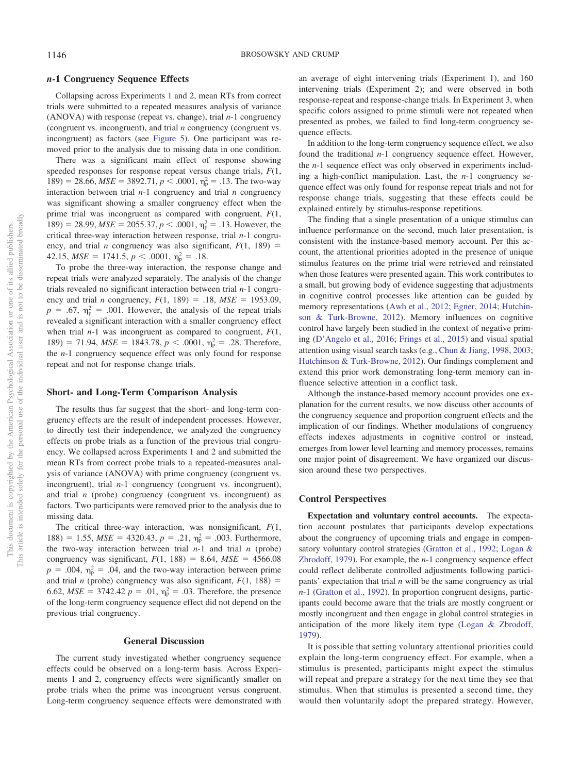## *n***-1 Congruency Sequence Effects**

Collapsing across Experiments 1 and 2, mean RTs from correct trials were submitted to a repeated measures analysis of variance (ANOVA) with response (repeat vs. change), trial *n*-1 congruency (congruent vs. incongruent), and trial *n* congruency (congruent vs. incongruent) as factors (see [Figure 5\)](#page-11-0). One participant was removed prior to the analysis due to missing data in one condition.

There was a significant main effect of response showing speeded responses for response repeat versus change trials, *F*(1,  $189$  = 28.66,  $MSE = 3892.71$ ,  $p < .0001$ ,  $\eta_p^2 = .13$ . The two-way interaction between trial *n*-1 congruency and trial *n* congruency was significant showing a smaller congruency effect when the prime trial was incongruent as compared with congruent, *F*(1, 189) = 28.99,  $MSE = 2055.37$ ,  $p < .0001$ ,  $\eta_p^2 = .13$ . However, the critical three-way interaction between response, trial *n*-1 congruency, and trial *n* congruency was also significant,  $F(1, 189) =$  $42.15, MSE = 1741.5, p < .0001, \eta_{p}^{2} = .18.$ 

To probe the three-way interaction, the response change and repeat trials were analyzed separately. The analysis of the change trials revealed no significant interaction between trial *n*-1 congruency and trial *n* congruency,  $F(1, 189) = .18$ ,  $MSE = 1953.09$ ,  $p = .67$ ,  $\eta_p^2 = .001$ . However, the analysis of the repeat trials revealed a significant interaction with a smaller congruency effect when trial *n*-1 was incongruent as compared to congruent, *F*(1, 189) = 71.94,  $MSE = 1843.78$ ,  $p < .0001$ ,  $\eta_p^2 = .28$ . Therefore, the *n*-1 congruency sequence effect was only found for response repeat and not for response change trials.

## **Short- and Long-Term Comparison Analysis**

The results thus far suggest that the short- and long-term congruency effects are the result of independent processes. However, to directly test their independence, we analyzed the congruency effects on probe trials as a function of the previous trial congruency. We collapsed across Experiments 1 and 2 and submitted the mean RTs from correct probe trials to a repeated-measures analysis of variance (ANOVA) with prime congruency (congruent vs. incongruent), trial *n*-1 congruency (congruent vs. incongruent), and trial *n* (probe) congruency (congruent vs. incongruent) as factors. Two participants were removed prior to the analysis due to missing data.

The critical three-way interaction, was nonsignificant, *F*(1, 188) = 1.55,  $MSE = 4320.43$ ,  $p = .21$ ,  $\eta_p^2 = .003$ . Furthermore, the two-way interaction between trial  $n-1$  and trial  $n$  (probe) congruency was significant,  $F(1, 188) = 8.64$ ,  $MSE = 4566.08$  $p = .004$ ,  $\eta_p^2 = .04$ , and the two-way interaction between prime and trial *n* (probe) congruency was also significant,  $F(1, 188) =$ 6.62,  $MSE = 3742.42$   $p = .01$ ,  $\eta_p^2 = .03$ . Therefore, the presence of the long-term congruency sequence effect did not depend on the previous trial congruency.

#### **General Discussion**

The current study investigated whether congruency sequence effects could be observed on a long-term basis. Across Experiments 1 and 2, congruency effects were significantly smaller on probe trials when the prime was incongruent versus congruent. Long-term congruency sequence effects were demonstrated with an average of eight intervening trials (Experiment 1), and 160 intervening trials (Experiment 2); and were observed in both response-repeat and response-change trials. In Experiment 3, when specific colors assigned to prime stimuli were not repeated when presented as probes, we failed to find long-term congruency sequence effects.

In addition to the long-term congruency sequence effect, we also found the traditional *n*-1 congruency sequence effect. However, the *n*-1 sequence effect was only observed in experiments including a high-conflict manipulation. Last, the *n*-1 congruency sequence effect was only found for response repeat trials and not for response change trials, suggesting that these effects could be explained entirely by stimulus-response repetitions.

The finding that a single presentation of a unique stimulus can influence performance on the second, much later presentation, is consistent with the instance-based memory account. Per this account, the attentional priorities adopted in the presence of unique stimulus features on the prime trial were retrieved and reinstated when those features were presented again. This work contributes to a small, but growing body of evidence suggesting that adjustments in cognitive control processes like attention can be guided by memory representations [\(Awh et al., 2012;](#page-16-0) [Egner, 2014;](#page-17-4) [Hutchin](#page-18-0)[son & Turk-Browne, 2012\)](#page-18-0). Memory influences on cognitive control have largely been studied in the context of negative priming [\(D'Angelo et al., 2016;](#page-17-1) [Frings et al., 2015\)](#page-17-2) and visual spatial attention using visual search tasks (e.g., [Chun & Jiang, 1998,](#page-17-27) [2003;](#page-17-28) [Hutchinson & Turk-Browne, 2012\)](#page-18-0). Our findings complement and extend this prior work demonstrating long-term memory can influence selective attention in a conflict task.

Although the instance-based memory account provides one explanation for the current results, we now discuss other accounts of the congruency sequence and proportion congruent effects and the implication of our findings. Whether modulations of congruency effects indexes adjustments in cognitive control or instead, emerges from lower level learning and memory processes, remains one major point of disagreement. We have organized our discussion around these two perspectives.

#### **Control Perspectives**

**Expectation and voluntary control accounts.** The expectation account postulates that participants develop expectations about the congruency of upcoming trials and engage in compensatory voluntary control strategies [\(Gratton et al., 1992;](#page-18-11) [Logan &](#page-18-24) [Zbrodoff, 1979\)](#page-18-24). For example, the *n*-1 congruency sequence effect could reflect deliberate controlled adjustments following participants' expectation that trial *n* will be the same congruency as trial *n*-1 [\(Gratton et al., 1992\)](#page-18-11). In proportion congruent designs, participants could become aware that the trials are mostly congruent or mostly incongruent and then engage in global control strategies in anticipation of the more likely item type [\(Logan & Zbrodoff,](#page-18-24) [1979\)](#page-18-24).

It is possible that setting voluntary attentional priorities could explain the long-term congruency effect. For example, when a stimulus is presented, participants might expect the stimulus will repeat and prepare a strategy for the next time they see that stimulus. When that stimulus is presented a second time, they would then voluntarily adopt the prepared strategy. However,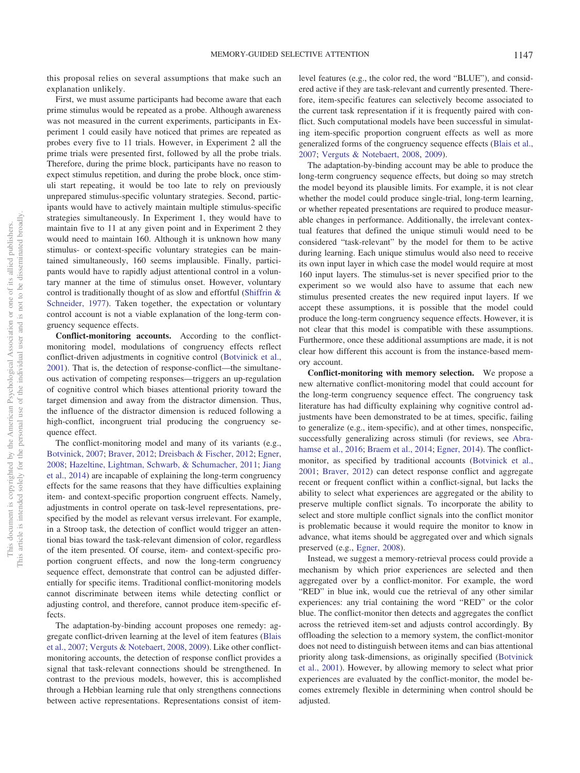this proposal relies on several assumptions that make such an explanation unlikely.

First, we must assume participants had become aware that each prime stimulus would be repeated as a probe. Although awareness was not measured in the current experiments, participants in Experiment 1 could easily have noticed that primes are repeated as probes every five to 11 trials. However, in Experiment 2 all the prime trials were presented first, followed by all the probe trials. Therefore, during the prime block, participants have no reason to expect stimulus repetition, and during the probe block, once stimuli start repeating, it would be too late to rely on previously unprepared stimulus-specific voluntary strategies. Second, participants would have to actively maintain multiple stimulus-specific strategies simultaneously. In Experiment 1, they would have to maintain five to 11 at any given point and in Experiment 2 they would need to maintain 160. Although it is unknown how many stimulus- or context-specific voluntary strategies can be maintained simultaneously, 160 seems implausible. Finally, participants would have to rapidly adjust attentional control in a voluntary manner at the time of stimulus onset. However, voluntary control is traditionally thought of as slow and effortful [\(Shiffrin &](#page-19-2) [Schneider, 1977\)](#page-19-2). Taken together, the expectation or voluntary control account is not a viable explanation of the long-term congruency sequence effects.

**Conflict-monitoring accounts.** According to the conflictmonitoring model, modulations of congruency effects reflect conflict-driven adjustments in cognitive control [\(Botvinick et al.,](#page-17-9) [2001\)](#page-17-9). That is, the detection of response-conflict—the simultaneous activation of competing responses—triggers an up-regulation of cognitive control which biases attentional priority toward the target dimension and away from the distractor dimension. Thus, the influence of the distractor dimension is reduced following a high-conflict, incongruent trial producing the congruency sequence effect.

The conflict-monitoring model and many of its variants (e.g., [Botvinick, 2007;](#page-17-29) [Braver, 2012;](#page-17-23) [Dreisbach & Fischer, 2012;](#page-17-30) [Egner,](#page-17-31) [2008;](#page-17-31) [Hazeltine, Lightman, Schwarb, & Schumacher, 2011;](#page-18-25) [Jiang](#page-18-22) [et al., 2014\)](#page-18-22) are incapable of explaining the long-term congruency effects for the same reasons that they have difficulties explaining item- and context-specific proportion congruent effects. Namely, adjustments in control operate on task-level representations, prespecified by the model as relevant versus irrelevant. For example, in a Stroop task, the detection of conflict would trigger an attentional bias toward the task-relevant dimension of color, regardless of the item presented. Of course, item- and context-specific proportion congruent effects, and now the long-term congruency sequence effect, demonstrate that control can be adjusted differentially for specific items. Traditional conflict-monitoring models cannot discriminate between items while detecting conflict or adjusting control, and therefore, cannot produce item-specific effects.

The adaptation-by-binding account proposes one remedy: aggregate conflict-driven learning at the level of item features [\(Blais](#page-17-22) [et al., 2007;](#page-17-22) [Verguts & Notebaert, 2008,](#page-19-12) [2009\)](#page-19-24). Like other conflictmonitoring accounts, the detection of response conflict provides a signal that task-relevant connections should be strengthened. In contrast to the previous models, however, this is accomplished through a Hebbian learning rule that only strengthens connections between active representations. Representations consist of itemlevel features (e.g., the color red, the word "BLUE"), and considered active if they are task-relevant and currently presented. Therefore, item-specific features can selectively become associated to the current task representation if it is frequently paired with conflict. Such computational models have been successful in simulating item-specific proportion congruent effects as well as more generalized forms of the congruency sequence effects [\(Blais et al.,](#page-17-22) [2007;](#page-17-22) [Verguts & Notebaert, 2008,](#page-19-12) [2009\)](#page-19-24).

The adaptation-by-binding account may be able to produce the long-term congruency sequence effects, but doing so may stretch the model beyond its plausible limits. For example, it is not clear whether the model could produce single-trial, long-term learning, or whether repeated presentations are required to produce measurable changes in performance. Additionally, the irrelevant contextual features that defined the unique stimuli would need to be considered "task-relevant" by the model for them to be active during learning. Each unique stimulus would also need to receive its own input layer in which case the model would require at most 160 input layers. The stimulus-set is never specified prior to the experiment so we would also have to assume that each new stimulus presented creates the new required input layers. If we accept these assumptions, it is possible that the model could produce the long-term congruency sequence effects. However, it is not clear that this model is compatible with these assumptions. Furthermore, once these additional assumptions are made, it is not clear how different this account is from the instance-based memory account.

**Conflict-monitoring with memory selection.** We propose a new alternative conflict-monitoring model that could account for the long-term congruency sequence effect. The congruency task literature has had difficulty explaining why cognitive control adjustments have been demonstrated to be at times, specific, failing to generalize (e.g., item-specific), and at other times, nonspecific, successfully generalizing across stimuli (for reviews, see [Abra](#page-16-1)[hamse et al., 2016;](#page-16-1) [Braem et al., 2014;](#page-17-10) [Egner, 2014\)](#page-17-4). The conflictmonitor, as specified by traditional accounts [\(Botvinick et al.,](#page-17-9) [2001;](#page-17-9) [Braver, 2012\)](#page-17-23) can detect response conflict and aggregate recent or frequent conflict within a conflict-signal, but lacks the ability to select what experiences are aggregated or the ability to preserve multiple conflict signals. To incorporate the ability to select and store multiple conflict signals into the conflict monitor is problematic because it would require the monitor to know in advance, what items should be aggregated over and which signals preserved (e.g., [Egner, 2008\)](#page-17-31).

Instead, we suggest a memory-retrieval process could provide a mechanism by which prior experiences are selected and then aggregated over by a conflict-monitor. For example, the word "RED" in blue ink, would cue the retrieval of any other similar experiences: any trial containing the word "RED" or the color blue. The conflict-monitor then detects and aggregates the conflict across the retrieved item-set and adjusts control accordingly. By offloading the selection to a memory system, the conflict-monitor does not need to distinguish between items and can bias attentional priority along task-dimensions, as originally specified [\(Botvinick](#page-17-9) [et al., 2001\)](#page-17-9). However, by allowing memory to select what prior experiences are evaluated by the conflict-monitor, the model becomes extremely flexible in determining when control should be adjusted.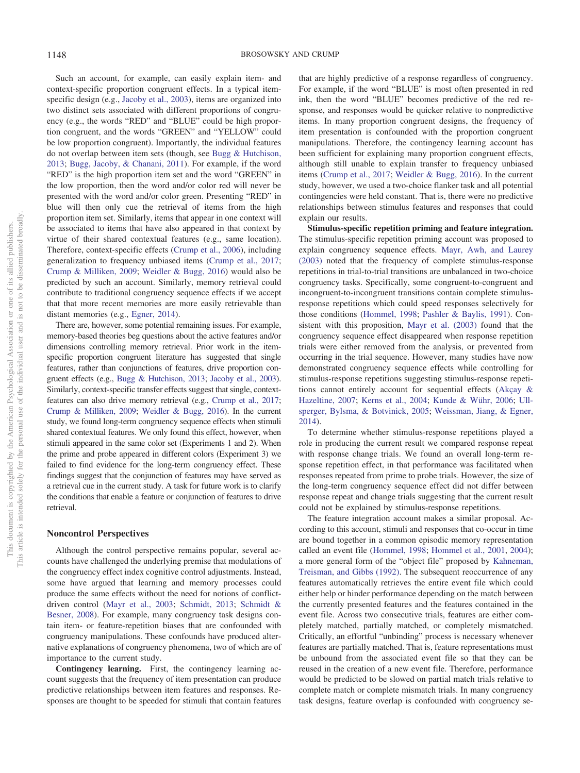Such an account, for example, can easily explain item- and context-specific proportion congruent effects. In a typical itemspecific design (e.g., [Jacoby et al., 2003\)](#page-18-20), items are organized into two distinct sets associated with different proportions of congruency (e.g., the words "RED" and "BLUE" could be high proportion congruent, and the words "GREEN" and "YELLOW" could be low proportion congruent). Importantly, the individual features do not overlap between item sets (though, see [Bugg & Hutchison,](#page-17-21) [2013;](#page-17-21) [Bugg, Jacoby, & Chanani, 2011\)](#page-17-32). For example, if the word "RED" is the high proportion item set and the word "GREEN" in the low proportion, then the word and/or color red will never be presented with the word and/or color green. Presenting "RED" in blue will then only cue the retrieval of items from the high proportion item set. Similarly, items that appear in one context will be associated to items that have also appeared in that context by virtue of their shared contextual features (e.g., same location). Therefore, context-specific effects [\(Crump et al., 2006\)](#page-17-16), including generalization to frequency unbiased items [\(Crump et al., 2017;](#page-17-15) [Crump & Milliken, 2009;](#page-17-20) [Weidler & Bugg, 2016\)](#page-19-17) would also be predicted by such an account. Similarly, memory retrieval could contribute to traditional congruency sequence effects if we accept that that more recent memories are more easily retrievable than distant memories (e.g., [Egner, 2014\)](#page-17-4).

There are, however, some potential remaining issues. For example, memory-based theories beg questions about the active features and/or dimensions controlling memory retrieval. Prior work in the itemspecific proportion congruent literature has suggested that single features, rather than conjunctions of features, drive proportion congruent effects (e.g., [Bugg & Hutchison, 2013;](#page-17-21) [Jacoby et al., 2003\)](#page-18-20). Similarly, context-specific transfer effects suggest that single, contextfeatures can also drive memory retrieval (e.g., [Crump et al., 2017;](#page-17-15) [Crump & Milliken, 2009;](#page-17-20) [Weidler & Bugg, 2016\)](#page-19-17). In the current study, we found long-term congruency sequence effects when stimuli shared contextual features. We only found this effect, however, when stimuli appeared in the same color set (Experiments 1 and 2). When the prime and probe appeared in different colors (Experiment 3) we failed to find evidence for the long-term congruency effect. These findings suggest that the conjunction of features may have served as a retrieval cue in the current study. A task for future work is to clarify the conditions that enable a feature or conjunction of features to drive retrieval.

## **Noncontrol Perspectives**

Although the control perspective remains popular, several accounts have challenged the underlying premise that modulations of the congruency effect index cognitive control adjustments. Instead, some have argued that learning and memory processes could produce the same effects without the need for notions of conflictdriven control [\(Mayr et al., 2003;](#page-18-14) [Schmidt, 2013;](#page-19-19) [Schmidt &](#page-19-20) [Besner, 2008\)](#page-19-20). For example, many congruency task designs contain item- or feature-repetition biases that are confounded with congruency manipulations. These confounds have produced alternative explanations of congruency phenomena, two of which are of importance to the current study.

**Contingency learning.** First, the contingency learning account suggests that the frequency of item presentation can produce predictive relationships between item features and responses. Responses are thought to be speeded for stimuli that contain features that are highly predictive of a response regardless of congruency. For example, if the word "BLUE" is most often presented in red ink, then the word "BLUE" becomes predictive of the red response, and responses would be quicker relative to nonpredictive items. In many proportion congruent designs, the frequency of item presentation is confounded with the proportion congruent manipulations. Therefore, the contingency learning account has been sufficient for explaining many proportion congruent effects, although still unable to explain transfer to frequency unbiased items [\(Crump et al., 2017;](#page-17-15) [Weidler & Bugg, 2016\)](#page-19-17). In the current study, however, we used a two-choice flanker task and all potential contingencies were held constant. That is, there were no predictive relationships between stimulus features and responses that could explain our results.

**Stimulus-specific repetition priming and feature integration.** The stimulus-specific repetition priming account was proposed to explain congruency sequence effects. [Mayr, Awh, and Laurey](#page-18-14) [\(2003\)](#page-18-14) noted that the frequency of complete stimulus-response repetitions in trial-to-trial transitions are unbalanced in two-choice congruency tasks. Specifically, some congruent-to-congruent and incongruent-to-incongruent transitions contain complete stimulusresponse repetitions which could speed responses selectively for those conditions [\(Hommel, 1998;](#page-18-15) [Pashler & Baylis, 1991\)](#page-18-26). Consistent with this proposition, [Mayr et al. \(2003\)](#page-18-14) found that the congruency sequence effect disappeared when response repetition trials were either removed from the analysis, or prevented from occurring in the trial sequence. However, many studies have now demonstrated congruency sequence effects while controlling for stimulus-response repetitions suggesting stimulus-response repetitions cannot entirely account for sequential effects [\(Akçay &](#page-16-5) [Hazeltine, 2007;](#page-16-5) [Kerns et al., 2004;](#page-18-27) [Kunde & Wühr, 2006;](#page-18-28) [Ull](#page-19-25)[sperger, Bylsma, & Botvinick, 2005;](#page-19-25) [Weissman, Jiang, & Egner,](#page-19-26) [2014\)](#page-19-26).

To determine whether stimulus-response repetitions played a role in producing the current result we compared response repeat with response change trials. We found an overall long-term response repetition effect, in that performance was facilitated when responses repeated from prime to probe trials. However, the size of the long-term congruency sequence effect did not differ between response repeat and change trials suggesting that the current result could not be explained by stimulus-response repetitions.

The feature integration account makes a similar proposal. According to this account, stimuli and responses that co-occur in time are bound together in a common episodic memory representation called an event file [\(Hommel, 1998;](#page-18-15) [Hommel et al., 2001,](#page-18-16) [2004\)](#page-18-17); a more general form of the "object file" proposed by [Kahneman,](#page-18-29) [Treisman, and Gibbs \(1992\).](#page-18-29) The subsequent reoccurrence of any features automatically retrieves the entire event file which could either help or hinder performance depending on the match between the currently presented features and the features contained in the event file. Across two consecutive trials, features are either completely matched, partially matched, or completely mismatched. Critically, an effortful "unbinding" process is necessary whenever features are partially matched. That is, feature representations must be unbound from the associated event file so that they can be reused in the creation of a new event file. Therefore, performance would be predicted to be slowed on partial match trials relative to complete match or complete mismatch trials. In many congruency task designs, feature overlap is confounded with congruency se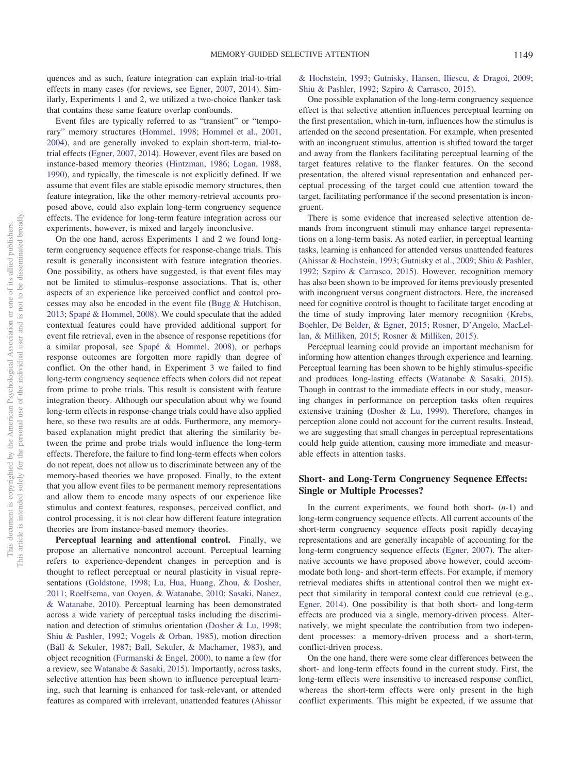quences and as such, feature integration can explain trial-to-trial effects in many cases (for reviews, see [Egner, 2007,](#page-17-5) [2014\)](#page-17-4). Similarly, Experiments 1 and 2, we utilized a two-choice flanker task that contains these same feature overlap confounds.

Event files are typically referred to as "transient" or "temporary" memory structures [\(Hommel, 1998;](#page-18-15) [Hommel et al., 2001,](#page-18-16) [2004\)](#page-18-17), and are generally invoked to explain short-term, trial-totrial effects [\(Egner, 2007,](#page-17-5) [2014\)](#page-17-4). However, event files are based on instance-based memory theories [\(Hintzman, 1986;](#page-18-30) [Logan, 1988,](#page-18-7) [1990\)](#page-18-31), and typically, the timescale is not explicitly defined. If we assume that event files are stable episodic memory structures, then feature integration, like the other memory-retrieval accounts proposed above, could also explain long-term congruency sequence effects. The evidence for long-term feature integration across our experiments, however, is mixed and largely inconclusive.

On the one hand, across Experiments 1 and 2 we found longterm congruency sequence effects for response-change trials. This result is generally inconsistent with feature integration theories. One possibility, as others have suggested, is that event files may not be limited to stimulus–response associations. That is, other aspects of an experience like perceived conflict and control processes may also be encoded in the event file [\(Bugg & Hutchison,](#page-17-21) [2013;](#page-17-21) [Spapé & Hommel, 2008\)](#page-19-15). We could speculate that the added contextual features could have provided additional support for event file retrieval, even in the absence of response repetitions (for a similar proposal, see [Spapé & Hommel, 2008\)](#page-19-15), or perhaps response outcomes are forgotten more rapidly than degree of conflict. On the other hand, in Experiment 3 we failed to find long-term congruency sequence effects when colors did not repeat from prime to probe trials. This result is consistent with feature integration theory. Although our speculation about why we found long-term effects in response-change trials could have also applied here, so these two results are at odds. Furthermore, any memorybased explanation might predict that altering the similarity between the prime and probe trials would influence the long-term effects. Therefore, the failure to find long-term effects when colors do not repeat, does not allow us to discriminate between any of the memory-based theories we have proposed. Finally, to the extent that you allow event files to be permanent memory representations and allow them to encode many aspects of our experience like stimulus and context features, responses, perceived conflict, and control processing, it is not clear how different feature integration theories are from instance-based memory theories.

**Perceptual learning and attentional control.** Finally, we propose an alternative noncontrol account. Perceptual learning refers to experience-dependent changes in perception and is thought to reflect perceptual or neural plasticity in visual repre-sentations [\(Goldstone, 1998;](#page-18-32) [Lu, Hua, Huang, Zhou, & Dosher,](#page-18-33) [2011;](#page-18-33) [Roelfsema, van Ooyen, & Watanabe, 2010;](#page-19-27) [Sasaki, Nanez,](#page-19-28) [& Watanabe, 2010\)](#page-19-28). Perceptual learning has been demonstrated across a wide variety of perceptual tasks including the discrimination and detection of stimulus orientation [\(Dosher & Lu, 1998;](#page-17-33) [Shiu & Pashler, 1992;](#page-19-29) [Vogels & Orban, 1985\)](#page-19-30), motion direction [\(Ball & Sekuler, 1987;](#page-16-6) [Ball, Sekuler, & Machamer, 1983\)](#page-16-7), and object recognition [\(Furmanski & Engel, 2000\)](#page-18-34), to name a few (for a review, see [Watanabe & Sasaki, 2015\)](#page-19-31). Importantly, across tasks, selective attention has been shown to influence perceptual learning, such that learning is enhanced for task-relevant, or attended features as compared with irrelevant, unattended features [\(Ahissar](#page-16-8)

[& Hochstein, 1993;](#page-16-8) [Gutnisky, Hansen, Iliescu, & Dragoi, 2009;](#page-18-35) [Shiu & Pashler, 1992;](#page-19-29) [Szpiro & Carrasco, 2015\)](#page-19-32).

One possible explanation of the long-term congruency sequence effect is that selective attention influences perceptual learning on the first presentation, which in-turn, influences how the stimulus is attended on the second presentation. For example, when presented with an incongruent stimulus, attention is shifted toward the target and away from the flankers facilitating perceptual learning of the target features relative to the flanker features. On the second presentation, the altered visual representation and enhanced perceptual processing of the target could cue attention toward the target, facilitating performance if the second presentation is incongruent.

There is some evidence that increased selective attention demands from incongruent stimuli may enhance target representations on a long-term basis. As noted earlier, in perceptual learning tasks, learning is enhanced for attended versus unattended features [\(Ahissar & Hochstein, 1993;](#page-16-8) [Gutnisky et al., 2009;](#page-18-35) [Shiu & Pashler,](#page-19-29) [1992;](#page-19-29) [Szpiro & Carrasco, 2015\)](#page-19-32). However, recognition memory has also been shown to be improved for items previously presented with incongruent versus congruent distractors. Here, the increased need for cognitive control is thought to facilitate target encoding at the time of study improving later memory recognition [\(Krebs,](#page-18-36) [Boehler, De Belder, & Egner, 2015;](#page-18-36) [Rosner, D'Angelo, MacLel](#page-19-33)[lan, & Milliken, 2015;](#page-19-33) [Rosner & Milliken, 2015\)](#page-19-34).

Perceptual learning could provide an important mechanism for informing how attention changes through experience and learning. Perceptual learning has been shown to be highly stimulus-specific and produces long-lasting effects [\(Watanabe & Sasaki, 2015\)](#page-19-31). Though in contrast to the immediate effects in our study, measuring changes in performance on perception tasks often requires extensive training [\(Dosher & Lu, 1999\)](#page-17-34). Therefore, changes in perception alone could not account for the current results. Instead, we are suggesting that small changes in perceptual representations could help guide attention, causing more immediate and measurable effects in attention tasks.

# **Short- and Long-Term Congruency Sequence Effects: Single or Multiple Processes?**

In the current experiments, we found both short- (*n*-1) and long-term congruency sequence effects. All current accounts of the short-term congruency sequence effects posit rapidly decaying representations and are generally incapable of accounting for the long-term congruency sequence effects [\(Egner, 2007\)](#page-17-5). The alternative accounts we have proposed above however, could accommodate both long- and short-term effects. For example, if memory retrieval mediates shifts in attentional control then we might expect that similarity in temporal context could cue retrieval (e.g., [Egner, 2014\)](#page-17-4). One possibility is that both short- and long-term effects are produced via a single, memory-driven process. Alternatively, we might speculate the contribution from two independent processes: a memory-driven process and a short-term, conflict-driven process.

On the one hand, there were some clear differences between the short- and long-term effects found in the current study. First, the long-term effects were insensitive to increased response conflict, whereas the short-term effects were only present in the high conflict experiments. This might be expected, if we assume that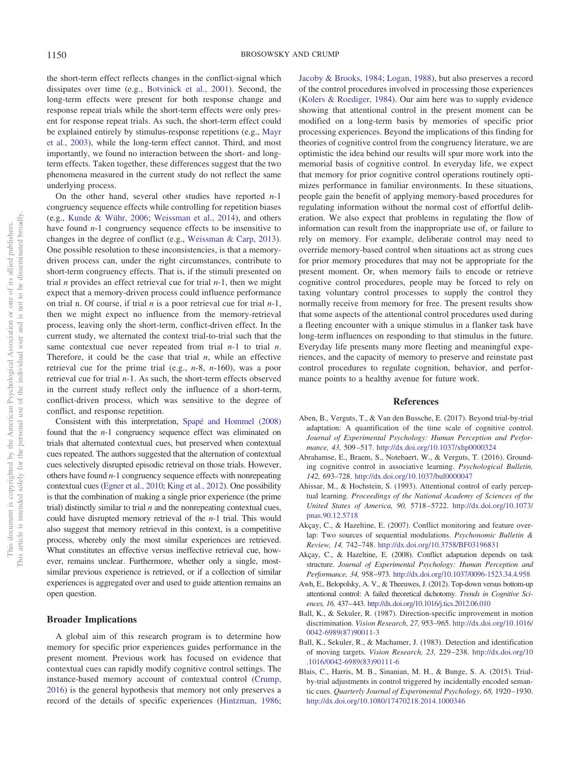the short-term effect reflects changes in the conflict-signal which dissipates over time (e.g., [Botvinick et al., 2001\)](#page-17-9). Second, the long-term effects were present for both response change and response repeat trials while the short-term effects were only present for response repeat trials. As such, the short-term effect could be explained entirely by stimulus-response repetitions (e.g., [Mayr](#page-18-14) [et al., 2003\)](#page-18-14), while the long-term effect cannot. Third, and most importantly, we found no interaction between the short- and longterm effects. Taken together, these differences suggest that the two phenomena measured in the current study do not reflect the same underlying process.

On the other hand, several other studies have reported *n*-1 congruency sequence effects while controlling for repetition biases (e.g., [Kunde & Wühr, 2006;](#page-18-28) [Weissman et al., 2014\)](#page-19-26), and others have found *n*-1 congruency sequence effects to be insensitive to changes in the degree of conflict (e.g., [Weissman & Carp, 2013\)](#page-19-22). One possible resolution to these inconsistencies, is that a memorydriven process can, under the right circumstances, contribute to short-term congruency effects. That is, if the stimuli presented on trial *n* provides an effect retrieval cue for trial *n*-1, then we might expect that a memory-driven process could influence performance on trial n. Of course, if trial *n* is a poor retrieval cue for trial *n*-1, then we might expect no influence from the memory-retrieval process, leaving only the short-term, conflict-driven effect. In the current study, we alternated the context trial-to-trial such that the same contextual cue never repeated from trial *n*-1 to trial *n*. Therefore, it could be the case that trial *n*, while an effective retrieval cue for the prime trial (e.g., *n*-8, *n*-160), was a poor retrieval cue for trial *n*-1. As such, the short-term effects observed in the current study reflect only the influence of a short-term, conflict-driven process, which was sensitive to the degree of conflict, and response repetition.

Consistent with this interpretation, [Spapé and Hommel \(2008\)](#page-19-15) found that the *n*-1 congruency sequence effect was eliminated on trials that alternated contextual cues, but preserved when contextual cues repeated. The authors suggested that the alternation of contextual cues selectively disrupted episodic retrieval on those trials. However, others have found *n*-1 congruency sequence effects with nonrepeating contextual cues [\(Egner et al., 2010;](#page-17-8) [King et al., 2012\)](#page-18-23). One possibility is that the combination of making a single prior experience (the prime trial) distinctly similar to trial *n* and the nonrepeating contextual cues, could have disrupted memory retrieval of the *n*-1 trial. This would also suggest that memory retrieval in this context, is a competitive process, whereby only the most similar experiences are retrieved. What constitutes an effective versus ineffective retrieval cue, however, remains unclear. Furthermore, whether only a single, mostsimilar previous experience is retrieved, or if a collection of similar experiences is aggregated over and used to guide attention remains an open question.

## **Broader Implications**

A global aim of this research program is to determine how memory for specific prior experiences guides performance in the present moment. Previous work has focused on evidence that contextual cues can rapidly modify cognitive control settings. The instance-based memory account of contextual control [\(Crump,](#page-17-14) [2016\)](#page-17-14) is the general hypothesis that memory not only preserves a record of the details of specific experiences [\(Hintzman, 1986;](#page-18-30) [Jacoby & Brooks, 1984;](#page-18-37) [Logan, 1988\)](#page-18-7), but also preserves a record of the control procedures involved in processing those experiences [\(Kolers & Roediger, 1984\)](#page-18-38). Our aim here was to supply evidence showing that attentional control in the present moment can be modified on a long-term basis by memories of specific prior processing experiences. Beyond the implications of this finding for theories of cognitive control from the congruency literature, we are optimistic the idea behind our results will spur more work into the memorial basis of cognitive control. In everyday life, we expect that memory for prior cognitive control operations routinely optimizes performance in familiar environments. In these situations, people gain the benefit of applying memory-based procedures for regulating information without the normal cost of effortful deliberation. We also expect that problems in regulating the flow of information can result from the inappropriate use of, or failure to rely on memory. For example, deliberate control may need to override memory-based control when situations act as strong cues for prior memory procedures that may not be appropriate for the present moment. Or, when memory fails to encode or retrieve cognitive control procedures, people may be forced to rely on taxing voluntary control processes to supply the control they normally receive from memory for free. The present results show that some aspects of the attentional control procedures used during a fleeting encounter with a unique stimulus in a flanker task have long-term influences on responding to that stimulus in the future. Everyday life presents many more fleeting and meaningful experiences, and the capacity of memory to preserve and reinstate past control procedures to regulate cognition, behavior, and performance points to a healthy avenue for future work.

## **References**

- <span id="page-16-3"></span>Aben, B., Verguts, T., & Van den Bussche, E. (2017). Beyond trial-by-trial adaptation: A quantification of the time scale of cognitive control. *Journal of Experimental Psychology: Human Perception and Performance, 43,* 509 –517. <http://dx.doi.org/10.1037/xhp0000324>
- <span id="page-16-1"></span>Abrahamse, E., Braem, S., Notebaert, W., & Verguts, T. (2016). Grounding cognitive control in associative learning. *Psychological Bulletin, 142,* 693–728. <http://dx.doi.org/10.1037/bul0000047>
- <span id="page-16-8"></span>Ahissar, M., & Hochstein, S. (1993). Attentional control of early perceptual learning. *Proceedings of the National Academy of Sciences of the United States of America, 90,* 5718 –5722. [http://dx.doi.org/10.1073/](http://dx.doi.org/10.1073/pnas.90.12.5718) [pnas.90.12.5718](http://dx.doi.org/10.1073/pnas.90.12.5718)
- <span id="page-16-5"></span>Akçay, C., & Hazeltine, E. (2007). Conflict monitoring and feature overlap: Two sources of sequential modulations. *Psychonomic Bulletin & Review, 14,* 742–748. <http://dx.doi.org/10.3758/BF03196831>
- <span id="page-16-2"></span>Akçay, C., & Hazeltine, E. (2008). Conflict adaptation depends on task structure. *Journal of Experimental Psychology: Human Perception and Performance, 34,* 958 –973. <http://dx.doi.org/10.1037/0096-1523.34.4.958>
- <span id="page-16-0"></span>Awh, E., Belopolsky, A. V., & Theeuwes, J. (2012). Top-down versus bottom-up attentional control: A failed theoretical dichotomy. *Trends in Cognitive Sciences, 16,* 437–443. <http://dx.doi.org/10.1016/j.tics.2012.06.010>
- <span id="page-16-6"></span>Ball, K., & Sekuler, R. (1987). Direction-specific improvement in motion discrimination. *Vision Research, 27,* 953–965. [http://dx.doi.org/10.1016/](http://dx.doi.org/10.1016/0042-6989%2887%2990011-3) [0042-6989\(87\)90011-3](http://dx.doi.org/10.1016/0042-6989%2887%2990011-3)
- <span id="page-16-7"></span>Ball, K., Sekuler, R., & Machamer, J. (1983). Detection and identification of moving targets. *Vision Research, 23,* 229 –238. [http://dx.doi.org/10](http://dx.doi.org/10.1016/0042-6989%2883%2990111-6) [.1016/0042-6989\(83\)90111-6](http://dx.doi.org/10.1016/0042-6989%2883%2990111-6)
- <span id="page-16-4"></span>Blais, C., Harris, M. B., Sinanian, M. H., & Bunge, S. A. (2015). Trialby-trial adjustments in control triggered by incidentally encoded semantic cues. *Quarterly Journal of Experimental Psychology, 68,* 1920 –1930. <http://dx.doi.org/10.1080/17470218.2014.1000346>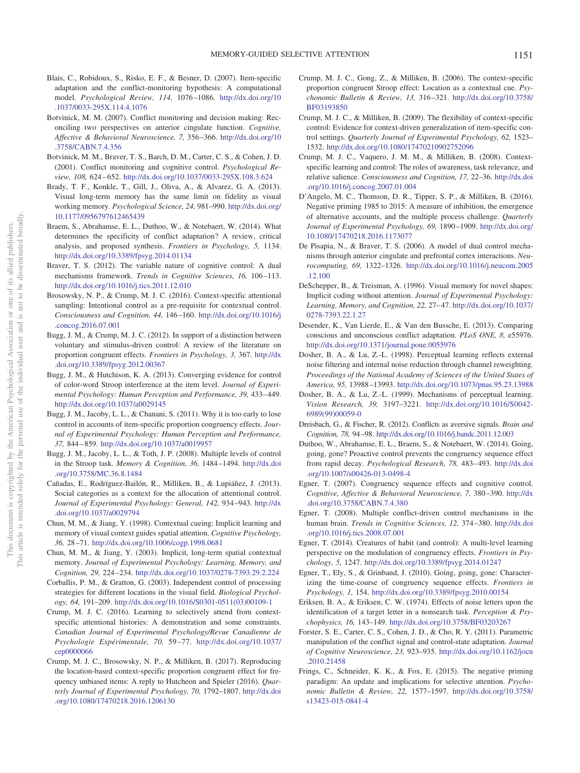- <span id="page-17-22"></span>Blais, C., Robidoux, S., Risko, E. F., & Besner, D. (2007). Item-specific adaptation and the conflict-monitoring hypothesis: A computational model. *Psychological Review, 114,* 1076 –1086. [http://dx.doi.org/10](http://dx.doi.org/10.1037/0033-295X.114.4.1076) [.1037/0033-295X.114.4.1076](http://dx.doi.org/10.1037/0033-295X.114.4.1076)
- <span id="page-17-29"></span>Botvinick, M. M. (2007). Conflict monitoring and decision making: Reconciling two perspectives on anterior cingulate function. *Cognitive, Affective & Behavioral Neuroscience, 7,* 356 –366. [http://dx.doi.org/10](http://dx.doi.org/10.3758/CABN.7.4.356) [.3758/CABN.7.4.356](http://dx.doi.org/10.3758/CABN.7.4.356)
- <span id="page-17-9"></span>Botvinick, M. M., Braver, T. S., Barch, D. M., Carter, C. S., & Cohen, J. D. (2001). Conflict monitoring and cognitive control. *Psychological Review, 108,* 624 – 652. <http://dx.doi.org/10.1037/0033-295X.108.3.624>
- <span id="page-17-25"></span>Brady, T. F., Konkle, T., Gill, J., Oliva, A., & Alvarez, G. A. (2013). Visual long-term memory has the same limit on fidelity as visual working memory. *Psychological Science, 24,* 981–990. [http://dx.doi.org/](http://dx.doi.org/10.1177/0956797612465439) [10.1177/0956797612465439](http://dx.doi.org/10.1177/0956797612465439)
- <span id="page-17-10"></span>Braem, S., Abrahamse, E. L., Duthoo, W., & Notebaert, W. (2014). What determines the specificity of conflict adaptation? A review, critical analysis, and proposed synthesis. *Frontiers in Psychology, 5,* 1134. <http://dx.doi.org/10.3389/fpsyg.2014.01134>
- <span id="page-17-23"></span>Braver, T. S. (2012). The variable nature of cognitive control: A dual mechanisms framework. *Trends in Cognitive Sciences*, 16, 106-113. <http://dx.doi.org/10.1016/j.tics.2011.12.010>
- <span id="page-17-12"></span>Brosowsky, N. P., & Crump, M. J. C. (2016). Context-specific attentional sampling: Intentional control as a pre-requisite for contextual control. *Consciousness and Cognition, 44,* 146 –160. [http://dx.doi.org/10.1016/j](http://dx.doi.org/10.1016/j.concog.2016.07.001) [.concog.2016.07.001](http://dx.doi.org/10.1016/j.concog.2016.07.001)
- <span id="page-17-11"></span>Bugg, J. M., & Crump, M. J. C. (2012). In support of a distinction between voluntary and stimulus-driven control: A review of the literature on proportion congruent effects. *Frontiers in Psychology, 3,* 367. [http://dx](http://dx.doi.org/10.3389/fpsyg.2012.00367) [.doi.org/10.3389/fpsyg.2012.00367](http://dx.doi.org/10.3389/fpsyg.2012.00367)
- <span id="page-17-21"></span>Bugg, J. M., & Hutchison, K. A. (2013). Converging evidence for control of color-word Stroop interference at the item level. *Journal of Experimental Psychology: Human Perception and Performance, 39,* 433– 449. <http://dx.doi.org/10.1037/a0029145>
- <span id="page-17-32"></span>Bugg, J. M., Jacoby, L. L., & Chanani, S. (2011). Why it is too early to lose control in accounts of item-specific proportion congruency effects. *Journal of Experimental Psychology: Human Perception and Performance, 37,* 844 – 859. <http://dx.doi.org/10.1037/a0019957>
- <span id="page-17-17"></span>Bugg, J. M., Jacoby, L. L., & Toth, J. P. (2008). Multiple levels of control in the Stroop task. *Memory & Cognition, 36,* 1484 –1494. [http://dx.doi](http://dx.doi.org/10.3758/MC.36.8.1484) [.org/10.3758/MC.36.8.1484](http://dx.doi.org/10.3758/MC.36.8.1484)
- <span id="page-17-19"></span>Cañadas, E., Rodríguez-Bailón, R., Milliken, B., & Lupiáñez, J. (2013). Social categories as a context for the allocation of attentional control. *Journal of Experimental Psychology: General, 142,* 934 –943. [http://dx](http://dx.doi.org/10.1037/a0029794) [.doi.org/10.1037/a0029794](http://dx.doi.org/10.1037/a0029794)
- <span id="page-17-27"></span>Chun, M. M., & Jiang, Y. (1998). Contextual cueing: Implicit learning and memory of visual context guides spatial attention. *Cognitive Psychology, 36,* 28 –71. <http://dx.doi.org/10.1006/cogp.1998.0681>
- <span id="page-17-28"></span>Chun, M. M., & Jiang, Y. (2003). Implicit, long-term spatial contextual memory. *Journal of Experimental Psychology: Learning, Memory, and Cognition, 29,* 224 –234. <http://dx.doi.org/10.1037/0278-7393.29.2.224>
- <span id="page-17-13"></span>Corballis, P. M., & Gratton, G. (2003). Independent control of processing strategies for different locations in the visual field. *Biological Psychology, 64,* 191–209. [http://dx.doi.org/10.1016/S0301-0511\(03\)00109-1](http://dx.doi.org/10.1016/S0301-0511%2803%2900109-1)
- <span id="page-17-14"></span>Crump, M. J. C. (2016). Learning to selectively attend from contextspecific attentional histories: A demonstration and some constraints. *Canadian Journal of Experimental Psychology/Revue Canadienne de Psychologie Expérimentale, 70,* 59 –77. [http://dx.doi.org/10.1037/](http://dx.doi.org/10.1037/cep0000066) [cep0000066](http://dx.doi.org/10.1037/cep0000066)
- <span id="page-17-15"></span>Crump, M. J. C., Brosowsky, N. P., & Milliken, B. (2017). Reproducing the location-based context-specific proportion congruent effect for frequency unbiased items: A reply to Hutcheon and Spieler (2016). *Quarterly Journal of Experimental Psychology, 70,* 1792–1807. [http://dx.doi](http://dx.doi.org/10.1080/17470218.2016.1206130) [.org/10.1080/17470218.2016.1206130](http://dx.doi.org/10.1080/17470218.2016.1206130)
- <span id="page-17-16"></span>Crump, M. J. C., Gong, Z., & Milliken, B. (2006). The context-specific proportion congruent Stroop effect: Location as a contextual cue. *Psychonomic Bulletin & Review, 13,* 316 –321. [http://dx.doi.org/10.3758/](http://dx.doi.org/10.3758/BF03193850) [BF03193850](http://dx.doi.org/10.3758/BF03193850)
- <span id="page-17-20"></span>Crump, M. J. C., & Milliken, B. (2009). The flexibility of context-specific control: Evidence for context-driven generalization of item-specific control settings. *Quarterly Journal of Experimental Psychology, 62,* 1523– 1532. <http://dx.doi.org/10.1080/17470210902752096>
- <span id="page-17-18"></span>Crump, M. J. C., Vaquero, J. M. M., & Milliken, B. (2008). Contextspecific learning and control: The roles of awareness, task relevance, and relative salience. *Consciousness and Cognition, 17,* 22–36. [http://dx.doi](http://dx.doi.org/10.1016/j.concog.2007.01.004) [.org/10.1016/j.concog.2007.01.004](http://dx.doi.org/10.1016/j.concog.2007.01.004)
- <span id="page-17-1"></span>D'Angelo, M. C., Thomson, D. R., Tipper, S. P., & Milliken, B. (2016). Negative priming 1985 to 2015: A measure of inhibition, the emergence of alternative accounts, and the multiple process challenge. *Quarterly Journal of Experimental Psychology, 69,* 1890 –1909. [http://dx.doi.org/](http://dx.doi.org/10.1080/17470218.2016.1173077) [10.1080/17470218.2016.1173077](http://dx.doi.org/10.1080/17470218.2016.1173077)
- <span id="page-17-24"></span>De Pisapia, N., & Braver, T. S. (2006). A model of dual control mechanisms through anterior cingulate and prefrontal cortex interactions. *Neurocomputing, 69,* 1322–1326. [http://dx.doi.org/10.1016/j.neucom.2005](http://dx.doi.org/10.1016/j.neucom.2005.12.100) [.12.100](http://dx.doi.org/10.1016/j.neucom.2005.12.100)
- <span id="page-17-3"></span>DeSchepper, B., & Treisman, A. (1996). Visual memory for novel shapes: Implicit coding without attention. *Journal of Experimental Psychology: Learning, Memory, and Cognition, 22,* 27– 47. [http://dx.doi.org/10.1037/](http://dx.doi.org/10.1037/0278-7393.22.1.27) [0278-7393.22.1.27](http://dx.doi.org/10.1037/0278-7393.22.1.27)
- <span id="page-17-6"></span>Desender, K., Van Lierde, E., & Van den Bussche, E. (2013). Comparing conscious and unconscious conflict adaptation. *PLoS ONE, 8,* e55976. <http://dx.doi.org/10.1371/journal.pone.0055976>
- <span id="page-17-33"></span>Dosher, B. A., & Lu, Z.-L. (1998). Perceptual learning reflects external noise filtering and internal noise reduction through channel reweighting. *Proceedings of the National Academy of Sciences of the United States of America, 95,* 13988 –13993. <http://dx.doi.org/10.1073/pnas.95.23.13988>
- <span id="page-17-34"></span>Dosher, B. A., & Lu, Z.-L. (1999). Mechanisms of perceptual learning. *Vision Research, 39,* 3197–3221. [http://dx.doi.org/10.1016/S0042-](http://dx.doi.org/10.1016/S0042-6989%2899%2900059-0) [6989\(99\)00059-0](http://dx.doi.org/10.1016/S0042-6989%2899%2900059-0)
- <span id="page-17-30"></span>Dreisbach, G., & Fischer, R. (2012). Conflicts as aversive signals. *Brain and Cognition, 78,* 94 –98. <http://dx.doi.org/10.1016/j.bandc.2011.12.003>
- <span id="page-17-7"></span>Duthoo, W., Abrahamse, E. L., Braem, S., & Notebaert, W. (2014). Going, going, gone? Proactive control prevents the congruency sequence effect from rapid decay. *Psychological Research, 78,* 483– 493. [http://dx.doi](http://dx.doi.org/10.1007/s00426-013-0498-4) [.org/10.1007/s00426-013-0498-4](http://dx.doi.org/10.1007/s00426-013-0498-4)
- <span id="page-17-5"></span>Egner, T. (2007). Congruency sequence effects and cognitive control. *Cognitive, Affective & Behavioral Neuroscience, 7,* 380 –390. [http://dx](http://dx.doi.org/10.3758/CABN.7.4.380) [.doi.org/10.3758/CABN.7.4.380](http://dx.doi.org/10.3758/CABN.7.4.380)
- <span id="page-17-31"></span>Egner, T. (2008). Multiple conflict-driven control mechanisms in the human brain. *Trends in Cognitive Sciences, 12,* 374 –380. [http://dx.doi](http://dx.doi.org/10.1016/j.tics.2008.07.001) [.org/10.1016/j.tics.2008.07.001](http://dx.doi.org/10.1016/j.tics.2008.07.001)
- <span id="page-17-4"></span>Egner, T. (2014). Creatures of habit (and control): A multi-level learning perspective on the modulation of congruency effects. *Frontiers in Psychology, 5,* 1247. <http://dx.doi.org/10.3389/fpsyg.2014.01247>
- <span id="page-17-8"></span>Egner, T., Ely, S., & Grinband, J. (2010). Going, going, gone: Characterizing the time-course of congruency sequence effects. *Frontiers in Psychology, 1,* 154. <http://dx.doi.org/10.3389/fpsyg.2010.00154>
- <span id="page-17-0"></span>Eriksen, B. A., & Eriksen, C. W. (1974). Effects of noise letters upon the identification of a target letter in a nonsearch task. *Perception & Psychophysics, 16,* 143–149. <http://dx.doi.org/10.3758/BF03203267>
- <span id="page-17-26"></span>Forster, S. E., Carter, C. S., Cohen, J. D., & Cho, R. Y. (2011). Parametric manipulation of the conflict signal and control-state adaptation. *Journal of Cognitive Neuroscience, 23,* 923–935. [http://dx.doi.org/10.1162/jocn](http://dx.doi.org/10.1162/jocn.2010.21458) [.2010.21458](http://dx.doi.org/10.1162/jocn.2010.21458)
- <span id="page-17-2"></span>Frings, C., Schneider, K. K., & Fox, E. (2015). The negative priming paradigm: An update and implications for selective attention. *Psychonomic Bulletin & Review, 22,* 1577–1597. [http://dx.doi.org/10.3758/](http://dx.doi.org/10.3758/s13423-015-0841-4) [s13423-015-0841-4](http://dx.doi.org/10.3758/s13423-015-0841-4)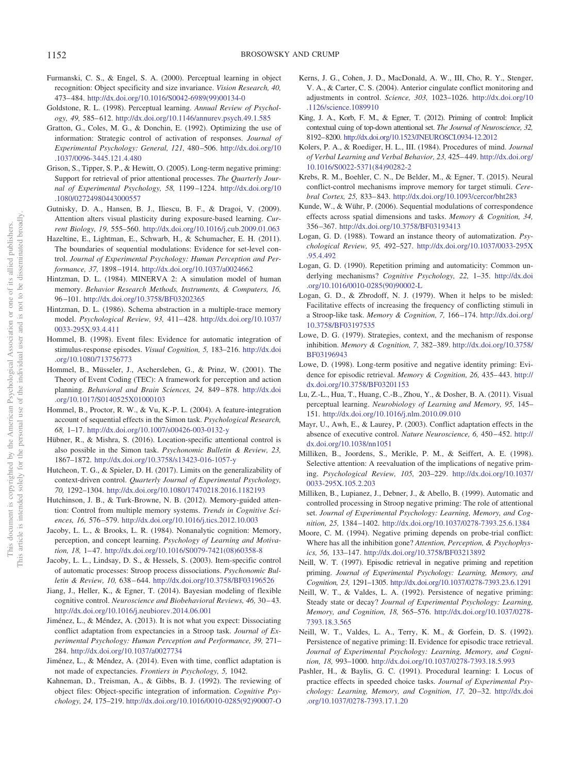- <span id="page-18-34"></span>Furmanski, C. S., & Engel, S. A. (2000). Perceptual learning in object recognition: Object specificity and size invariance. *Vision Research, 40,* 473– 484. [http://dx.doi.org/10.1016/S0042-6989\(99\)00134-0](http://dx.doi.org/10.1016/S0042-6989%2899%2900134-0)
- <span id="page-18-32"></span>Goldstone, R. L. (1998). Perceptual learning. *Annual Review of Psychology, 49,* 585– 612. <http://dx.doi.org/10.1146/annurev.psych.49.1.585>
- <span id="page-18-11"></span>Gratton, G., Coles, M. G., & Donchin, E. (1992). Optimizing the use of information: Strategic control of activation of responses. *Journal of Experimental Psychology: General, 121,* 480 –506. [http://dx.doi.org/10](http://dx.doi.org/10.1037/0096-3445.121.4.480) [.1037/0096-3445.121.4.480](http://dx.doi.org/10.1037/0096-3445.121.4.480)
- <span id="page-18-5"></span>Grison, S., Tipper, S. P., & Hewitt, O. (2005). Long-term negative priming: Support for retrieval of prior attentional processes. *The Quarterly Journal of Experimental Psychology, 58,* 1199 –1224. [http://dx.doi.org/10](http://dx.doi.org/10.1080/02724980443000557) [.1080/02724980443000557](http://dx.doi.org/10.1080/02724980443000557)
- <span id="page-18-35"></span>Gutnisky, D. A., Hansen, B. J., Iliescu, B. F., & Dragoi, V. (2009). Attention alters visual plasticity during exposure-based learning. *Current Biology, 19,* 555–560. <http://dx.doi.org/10.1016/j.cub.2009.01.063>
- <span id="page-18-25"></span>Hazeltine, E., Lightman, E., Schwarb, H., & Schumacher, E. H. (2011). The boundaries of sequential modulations: Evidence for set-level control. *Journal of Experimental Psychology: Human Perception and Performance, 37,* 1898 –1914. <http://dx.doi.org/10.1037/a0024662>
- <span id="page-18-6"></span>Hintzman, D. L. (1984). MINERVA 2: A simulation model of human memory. *Behavior Research Methods, Instruments, & Computers, 16,* 96 –101. <http://dx.doi.org/10.3758/BF03202365>
- <span id="page-18-30"></span>Hintzman, D. L. (1986). Schema abstraction in a multiple-trace memory model. *Psychological Review, 93,* 411– 428. [http://dx.doi.org/10.1037/](http://dx.doi.org/10.1037/0033-295X.93.4.411) [0033-295X.93.4.411](http://dx.doi.org/10.1037/0033-295X.93.4.411)
- <span id="page-18-15"></span>Hommel, B. (1998). Event files: Evidence for automatic integration of stimulus-response episodes. *Visual Cognition, 5,* 183–216. [http://dx.doi](http://dx.doi.org/10.1080/713756773) [.org/10.1080/713756773](http://dx.doi.org/10.1080/713756773)
- <span id="page-18-16"></span>Hommel, B., Müsseler, J., Aschersleben, G., & Prinz, W. (2001). The Theory of Event Coding (TEC): A framework for perception and action planning. *Behavioral and Brain Sciences, 24,* 849 – 878. [http://dx.doi](http://dx.doi.org/10.1017/S0140525X01000103) [.org/10.1017/S0140525X01000103](http://dx.doi.org/10.1017/S0140525X01000103)
- <span id="page-18-17"></span>Hommel, B., Proctor, R. W., & Vu, K.-P. L. (2004). A feature-integration account of sequential effects in the Simon task. *Psychological Research, 68,* 1–17. <http://dx.doi.org/10.1007/s00426-003-0132-y>
- <span id="page-18-18"></span>Hübner, R., & Mishra, S. (2016). Location-specific attentional control is also possible in the Simon task. *Psychonomic Bulletin & Review, 23,* 1867–1872. <http://dx.doi.org/10.3758/s13423-016-1057-y>
- <span id="page-18-19"></span>Hutcheon, T. G., & Spieler, D. H. (2017). Limits on the generalizability of context-driven control. *Quarterly Journal of Experimental Psychology, 70,* 1292–1304. <http://dx.doi.org/10.1080/17470218.2016.1182193>
- <span id="page-18-0"></span>Hutchinson, J. B., & Turk-Browne, N. B. (2012). Memory-guided attention: Control from multiple memory systems. *Trends in Cognitive Sciences, 16,* 576 –579. <http://dx.doi.org/10.1016/j.tics.2012.10.003>
- <span id="page-18-37"></span>Jacoby, L. L., & Brooks, L. R. (1984). Nonanalytic cognition: Memory, perception, and concept learning. *Psychology of Learning and Motivation, 18,* 1– 47. [http://dx.doi.org/10.1016/S0079-7421\(08\)60358-8](http://dx.doi.org/10.1016/S0079-7421%2808%2960358-8)
- <span id="page-18-20"></span>Jacoby, L. L., Lindsay, D. S., & Hessels, S. (2003). Item-specific control of automatic processes: Stroop process dissociations. *Psychonomic Bulletin & Review, 10,* 638 – 644. <http://dx.doi.org/10.3758/BF03196526>
- <span id="page-18-22"></span>Jiang, J., Heller, K., & Egner, T. (2014). Bayesian modeling of flexible cognitive control. *Neuroscience and Biobehavioral Reviews, 46,* 30 – 43. <http://dx.doi.org/10.1016/j.neubiorev.2014.06.001>
- <span id="page-18-12"></span>Jiménez, L., & Méndez, A. (2013). It is not what you expect: Dissociating conflict adaptation from expectancies in a Stroop task. *Journal of Experimental Psychology: Human Perception and Performance, 39,* 271– 284. <http://dx.doi.org/10.1037/a0027734>
- <span id="page-18-13"></span>Jiménez, L., & Méndez, A. (2014). Even with time, conflict adaptation is not made of expectancies. *Frontiers in Psychology, 5,* 1042.
- <span id="page-18-29"></span>Kahneman, D., Treisman, A., & Gibbs, B. J. (1992). The reviewing of object files: Object-specific integration of information. *Cognitive Psychology, 24,* 175–219. [http://dx.doi.org/10.1016/0010-0285\(92\)90007-O](http://dx.doi.org/10.1016/0010-0285%2892%2990007-O)
- <span id="page-18-27"></span>Kerns, J. G., Cohen, J. D., MacDonald, A. W., III, Cho, R. Y., Stenger, V. A., & Carter, C. S. (2004). Anterior cingulate conflict monitoring and adjustments in control. *Science, 303,* 1023–1026. [http://dx.doi.org/10](http://dx.doi.org/10.1126/science.1089910) [.1126/science.1089910](http://dx.doi.org/10.1126/science.1089910)
- <span id="page-18-23"></span>King, J. A., Korb, F. M., & Egner, T. (2012). Priming of control: Implicit contextual cuing of top-down attentional set. *The Journal of Neuroscience, 32,* 8192–8200. <http://dx.doi.org/10.1523/JNEUROSCI.0934-12.2012>
- <span id="page-18-38"></span>Kolers, P. A., & Roediger, H. L., III. (1984). Procedures of mind. *Journal of Verbal Learning and Verbal Behavior, 23,* 425– 449. [http://dx.doi.org/](http://dx.doi.org/10.1016/S0022-5371%2884%2990282-2) [10.1016/S0022-5371\(84\)90282-2](http://dx.doi.org/10.1016/S0022-5371%2884%2990282-2)
- <span id="page-18-36"></span>Krebs, R. M., Boehler, C. N., De Belder, M., & Egner, T. (2015). Neural conflict-control mechanisms improve memory for target stimuli. *Cerebral Cortex, 25,* 833– 843. <http://dx.doi.org/10.1093/cercor/bht283>
- <span id="page-18-28"></span>Kunde, W., & Wühr, P. (2006). Sequential modulations of correspondence effects across spatial dimensions and tasks. *Memory & Cognition, 34,* 356 –367. <http://dx.doi.org/10.3758/BF03193413>
- <span id="page-18-7"></span>Logan, G. D. (1988). Toward an instance theory of automatization. *Psychological Review, 95,* 492–527. [http://dx.doi.org/10.1037/0033-295X](http://dx.doi.org/10.1037/0033-295X.95.4.492) [.95.4.492](http://dx.doi.org/10.1037/0033-295X.95.4.492)
- <span id="page-18-31"></span>Logan, G. D. (1990). Repetition priming and automaticity: Common underlying mechanisms? *Cognitive Psychology, 22,* 1–35. [http://dx.doi](http://dx.doi.org/10.1016/0010-0285%2890%2990002-L) [.org/10.1016/0010-0285\(90\)90002-L](http://dx.doi.org/10.1016/0010-0285%2890%2990002-L)
- <span id="page-18-24"></span>Logan, G. D., & Zbrodoff, N. J. (1979). When it helps to be misled: Facilitative effects of increasing the frequency of conflicting stimuli in a Stroop-like task. *Memory & Cognition, 7,* 166 –174. [http://dx.doi.org/](http://dx.doi.org/10.3758/BF03197535) [10.3758/BF03197535](http://dx.doi.org/10.3758/BF03197535)
- <span id="page-18-1"></span>Lowe, D. G. (1979). Strategies, context, and the mechanism of response inhibition. *Memory & Cognition, 7,* 382–389. [http://dx.doi.org/10.3758/](http://dx.doi.org/10.3758/BF03196943) [BF03196943](http://dx.doi.org/10.3758/BF03196943)
- <span id="page-18-4"></span>Lowe, D. (1998). Long-term positive and negative identity priming: Evidence for episodic retrieval. *Memory & Cognition, 26,* 435– 443. [http://](http://dx.doi.org/10.3758/BF03201153) [dx.doi.org/10.3758/BF03201153](http://dx.doi.org/10.3758/BF03201153)
- <span id="page-18-33"></span>Lu, Z.-L., Hua, T., Huang, C.-B., Zhou, Y., & Dosher, B. A. (2011). Visual perceptual learning. *Neurobiology of Learning and Memory, 95,* 145– 151. <http://dx.doi.org/10.1016/j.nlm.2010.09.010>
- <span id="page-18-14"></span>Mayr, U., Awh, E., & Laurey, P. (2003). Conflict adaptation effects in the absence of executive control. *Nature Neuroscience, 6,* 450 – 452. [http://](http://dx.doi.org/10.1038/nn1051) [dx.doi.org/10.1038/nn1051](http://dx.doi.org/10.1038/nn1051)
- <span id="page-18-2"></span>Milliken, B., Joordens, S., Merikle, P. M., & Seiffert, A. E. (1998). Selective attention: A reevaluation of the implications of negative priming. *Psychological Review, 105,* 203–229. [http://dx.doi.org/10.1037/](http://dx.doi.org/10.1037/0033-295X.105.2.203) [0033-295X.105.2.203](http://dx.doi.org/10.1037/0033-295X.105.2.203)
- <span id="page-18-21"></span>Milliken, B., Lupianez, J., Debner, J., & Abello, B. (1999). Automatic and controlled processing in Stroop negative priming: The role of attentional set. *Journal of Experimental Psychology: Learning, Memory, and Cognition, 25,* 1384 –1402. <http://dx.doi.org/10.1037/0278-7393.25.6.1384>
- <span id="page-18-3"></span>Moore, C. M. (1994). Negative priming depends on probe-trial conflict: Where has all the inhibition gone? *Attention, Perception, & Psychophysics, 56,* 133–147. <http://dx.doi.org/10.3758/BF03213892>
- <span id="page-18-8"></span>Neill, W. T. (1997). Episodic retrieval in negative priming and repetition priming. *Journal of Experimental Psychology: Learning, Memory, and Cognition, 23,* 1291–1305. <http://dx.doi.org/10.1037/0278-7393.23.6.1291>
- <span id="page-18-9"></span>Neill, W. T., & Valdes, L. A. (1992). Persistence of negative priming: Steady state or decay? *Journal of Experimental Psychology: Learning, Memory, and Cognition, 18,* 565–576. [http://dx.doi.org/10.1037/0278-](http://dx.doi.org/10.1037/0278-7393.18.3.565) [7393.18.3.565](http://dx.doi.org/10.1037/0278-7393.18.3.565)
- <span id="page-18-10"></span>Neill, W. T., Valdes, L. A., Terry, K. M., & Gorfein, D. S. (1992). Persistence of negative priming: II. Evidence for episodic trace retrieval. *Journal of Experimental Psychology: Learning, Memory, and Cognition, 18,* 993–1000. <http://dx.doi.org/10.1037/0278-7393.18.5.993>
- <span id="page-18-26"></span>Pashler, H., & Baylis, G. C. (1991). Procedural learning: I. Locus of practice effects in speeded choice tasks. *Journal of Experimental Psychology: Learning, Memory, and Cognition, 17,* 20 –32. [http://dx.doi](http://dx.doi.org/10.1037/0278-7393.17.1.20) [.org/10.1037/0278-7393.17.1.20](http://dx.doi.org/10.1037/0278-7393.17.1.20)